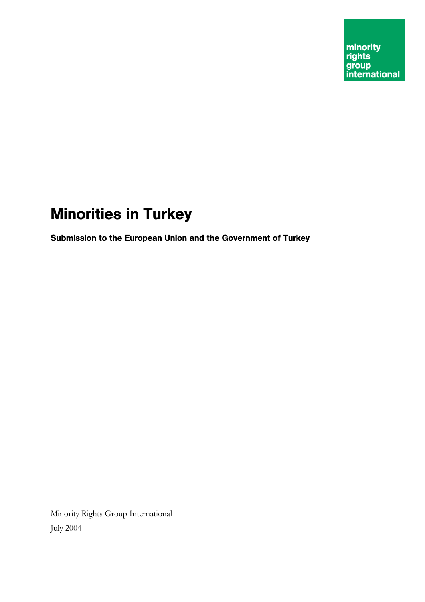# Minorities in Turkey

Submission to the European Union and the Government of Turkey

Minority Rights Group International July 2004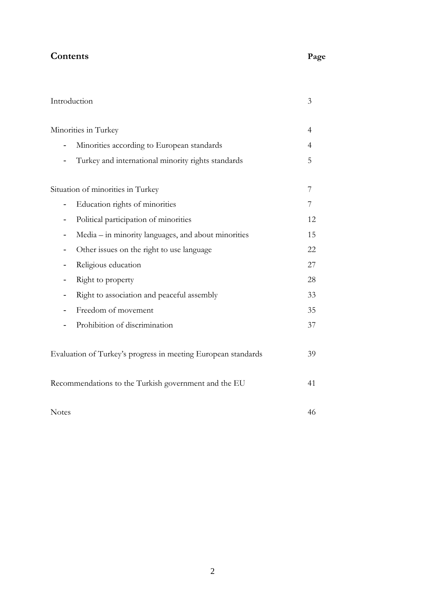# **Contents Page 2016**

| ۰.<br>×<br>۰,<br>۰.<br>۰, |
|---------------------------|
|---------------------------|

| Introduction                                                  | 3  |
|---------------------------------------------------------------|----|
| Minorities in Turkey                                          | 4  |
| Minorities according to European standards                    | 4  |
| Turkey and international minority rights standards            | 5  |
| Situation of minorities in Turkey                             | 7  |
| Education rights of minorities                                | 7  |
| Political participation of minorities<br>-                    | 12 |
| Media – in minority languages, and about minorities           | 15 |
| Other issues on the right to use language                     | 22 |
| Religious education                                           | 27 |
| Right to property                                             | 28 |
| Right to association and peaceful assembly                    | 33 |
| Freedom of movement                                           | 35 |
| Prohibition of discrimination                                 | 37 |
| Evaluation of Turkey's progress in meeting European standards | 39 |
| Recommendations to the Turkish government and the EU          | 41 |
| <b>Notes</b>                                                  | 46 |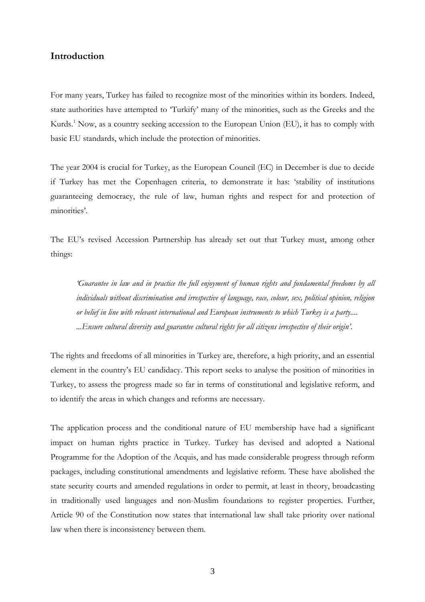## **Introduction**

For many years, Turkey has failed to recognize most of the minorities within its borders. Indeed, state authorities have attempted to 'Turkify' many of the minorities, such as the Greeks and the Kurds.<sup>1</sup> Now, as a country seeking accession to the European Union (EU), it has to comply with basic EU standards, which include the protection of minorities.

The year 2004 is crucial for Turkey, as the European Council (EC) in December is due to decide if Turkey has met the Copenhagen criteria, to demonstrate it has: 'stability of institutions guaranteeing democracy, the rule of law, human rights and respect for and protection of minorities'.

The EU's revised Accession Partnership has already set out that Turkey must, among other things:

*'Guarantee in law and in practice the full enjoyment of human rights and fundamental freedoms by all individuals without discrimination and irrespective of language, race, colour, sex, political opinion, religion or belief in line with relevant international and European instruments to which Turkey is a party.... ...Ensure cultural diversity and guarantee cultural rights for all citizens irrespective of their origin'*.

The rights and freedoms of all minorities in Turkey are, therefore, a high priority, and an essential element in the country's EU candidacy. This report seeks to analyse the position of minorities in Turkey, to assess the progress made so far in terms of constitutional and legislative reform, and to identify the areas in which changes and reforms are necessary.

The application process and the conditional nature of EU membership have had a significant impact on human rights practice in Turkey. Turkey has devised and adopted a National Programme for the Adoption of the Acquis, and has made considerable progress through reform packages, including constitutional amendments and legislative reform. These have abolished the state security courts and amended regulations in order to permit, at least in theory, broadcasting in traditionally used languages and non-Muslim foundations to register properties. Further, Article 90 of the Constitution now states that international law shall take priority over national law when there is inconsistency between them.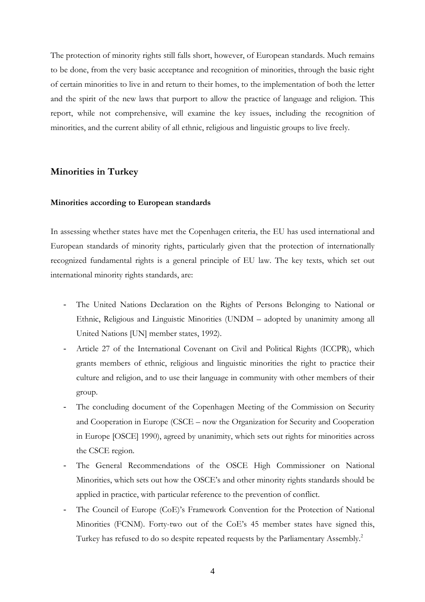The protection of minority rights still falls short, however, of European standards. Much remains to be done, from the very basic acceptance and recognition of minorities, through the basic right of certain minorities to live in and return to their homes, to the implementation of both the letter and the spirit of the new laws that purport to allow the practice of language and religion. This report, while not comprehensive, will examine the key issues, including the recognition of minorities, and the current ability of all ethnic, religious and linguistic groups to live freely.

## **Minorities in Turkey**

#### **Minorities according to European standards**

In assessing whether states have met the Copenhagen criteria, the EU has used international and European standards of minority rights, particularly given that the protection of internationally recognized fundamental rights is a general principle of EU law. The key texts, which set out international minority rights standards, are:

- The United Nations Declaration on the Rights of Persons Belonging to National or Ethnic, Religious and Linguistic Minorities (UNDM – adopted by unanimity among all United Nations [UN] member states, 1992).
- Article 27 of the International Covenant on Civil and Political Rights (ICCPR), which grants members of ethnic, religious and linguistic minorities the right to practice their culture and religion, and to use their language in community with other members of their group.
- The concluding document of the Copenhagen Meeting of the Commission on Security and Cooperation in Europe (CSCE – now the Organization for Security and Cooperation in Europe [OSCE] 1990), agreed by unanimity, which sets out rights for minorities across the CSCE region.
- The General Recommendations of the OSCE High Commissioner on National Minorities, which sets out how the OSCE's and other minority rights standards should be applied in practice, with particular reference to the prevention of conflict.
- The Council of Europe (CoE)'s Framework Convention for the Protection of National Minorities (FCNM). Forty-two out of the CoE's 45 member states have signed this, Turkey has refused to do so despite repeated requests by the Parliamentary Assembly.<sup>2</sup>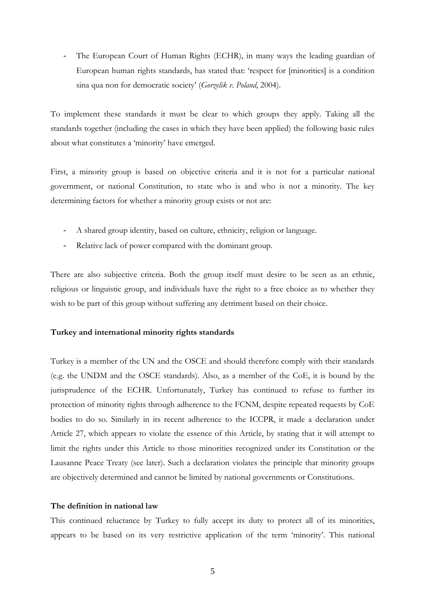The European Court of Human Rights (ECHR), in many ways the leading guardian of European human rights standards, has stated that: 'respect for [minorities] is a condition sina qua non for democratic society' (*Gorzelik v. Poland*, 2004).

To implement these standards it must be clear to which groups they apply. Taking all the standards together (including the cases in which they have been applied) the following basic rules about what constitutes a 'minority' have emerged.

First, a minority group is based on objective criteria and it is not for a particular national government, or national Constitution, to state who is and who is not a minority. The key determining factors for whether a minority group exists or not are:

- A shared group identity, based on culture, ethnicity, religion or language.
- Relative lack of power compared with the dominant group.

There are also subjective criteria. Both the group itself must desire to be seen as an ethnic, religious or linguistic group, and individuals have the right to a free choice as to whether they wish to be part of this group without suffering any detriment based on their choice.

#### **Turkey and international minority rights standards**

Turkey is a member of the UN and the OSCE and should therefore comply with their standards (e.g. the UNDM and the OSCE standards). Also, as a member of the CoE, it is bound by the jurisprudence of the ECHR. Unfortunately, Turkey has continued to refuse to further its protection of minority rights through adherence to the FCNM, despite repeated requests by CoE bodies to do so. Similarly in its recent adherence to the ICCPR, it made a declaration under Article 27, which appears to violate the essence of this Article, by stating that it will attempt to limit the rights under this Article to those minorities recognized under its Constitution or the Lausanne Peace Treaty (see later). Such a declaration violates the principle that minority groups are objectively determined and cannot be limited by national governments or Constitutions.

#### **The definition in national law**

This continued reluctance by Turkey to fully accept its duty to protect all of its minorities, appears to be based on its very restrictive application of the term 'minority'. This national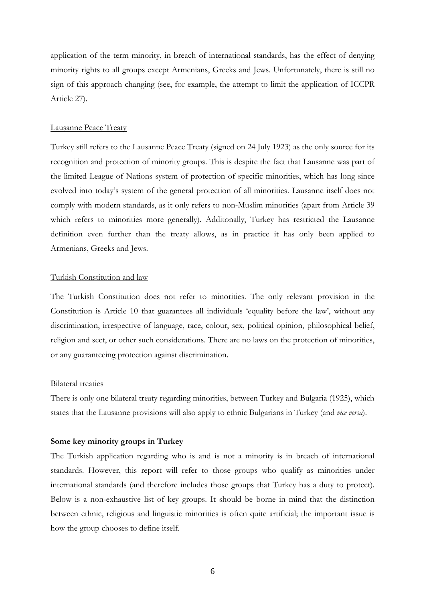application of the term minority, in breach of international standards, has the effect of denying minority rights to all groups except Armenians, Greeks and Jews. Unfortunately, there is still no sign of this approach changing (see, for example, the attempt to limit the application of ICCPR Article 27).

#### Lausanne Peace Treaty

Turkey still refers to the Lausanne Peace Treaty (signed on 24 July 1923) as the only source for its recognition and protection of minority groups. This is despite the fact that Lausanne was part of the limited League of Nations system of protection of specific minorities, which has long since evolved into today's system of the general protection of all minorities. Lausanne itself does not comply with modern standards, as it only refers to non-Muslim minorities (apart from Article 39 which refers to minorities more generally). Additonally, Turkey has restricted the Lausanne definition even further than the treaty allows, as in practice it has only been applied to Armenians, Greeks and Jews.

#### Turkish Constitution and law

The Turkish Constitution does not refer to minorities. The only relevant provision in the Constitution is Article 10 that guarantees all individuals 'equality before the law', without any discrimination, irrespective of language, race, colour, sex, political opinion, philosophical belief, religion and sect, or other such considerations. There are no laws on the protection of minorities, or any guaranteeing protection against discrimination.

#### Bilateral treaties

There is only one bilateral treaty regarding minorities, between Turkey and Bulgaria (1925), which states that the Lausanne provisions will also apply to ethnic Bulgarians in Turkey (and *vice versa*).

## **Some key minority groups in Turkey**

The Turkish application regarding who is and is not a minority is in breach of international standards. However, this report will refer to those groups who qualify as minorities under international standards (and therefore includes those groups that Turkey has a duty to protect). Below is a non-exhaustive list of key groups. It should be borne in mind that the distinction between ethnic, religious and linguistic minorities is often quite artificial; the important issue is how the group chooses to define itself.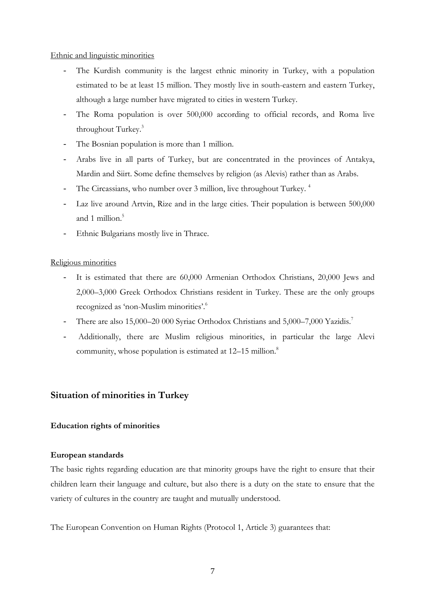## Ethnic and linguistic minorities

- The Kurdish community is the largest ethnic minority in Turkey, with a population estimated to be at least 15 million. They mostly live in south-eastern and eastern Turkey, although a large number have migrated to cities in western Turkey.
- The Roma population is over 500,000 according to official records, and Roma live throughout Turkey.<sup>3</sup>
- The Bosnian population is more than 1 million.
- Arabs live in all parts of Turkey, but are concentrated in the provinces of Antakya, Mardin and Siirt. Some define themselves by religion (as Alevis) rather than as Arabs.
- The Circassians, who number over 3 million, live throughout Turkey.<sup>4</sup>
- Laz live around Artvin, Rize and in the large cities. Their population is between 500,000 and 1 million.<sup>5</sup>
- Ethnic Bulgarians mostly live in Thrace.

## Religious minorities

- It is estimated that there are 60,000 Armenian Orthodox Christians, 20,000 Jews and 2,000–3,000 Greek Orthodox Christians resident in Turkey. These are the only groups recognized as 'non-Muslim minorities'.<sup>6</sup>
- There are also 15,000–20 000 Syriac Orthodox Christians and 5,000–7,000 Yazidis.<sup>7</sup>
- Additionally, there are Muslim religious minorities, in particular the large Alevi community, whose population is estimated at 12–15 million.<sup>8</sup>

## **Situation of minorities in Turkey**

## **Education rights of minorities**

#### **European standards**

The basic rights regarding education are that minority groups have the right to ensure that their children learn their language and culture, but also there is a duty on the state to ensure that the variety of cultures in the country are taught and mutually understood.

The European Convention on Human Rights (Protocol 1, Article 3) guarantees that: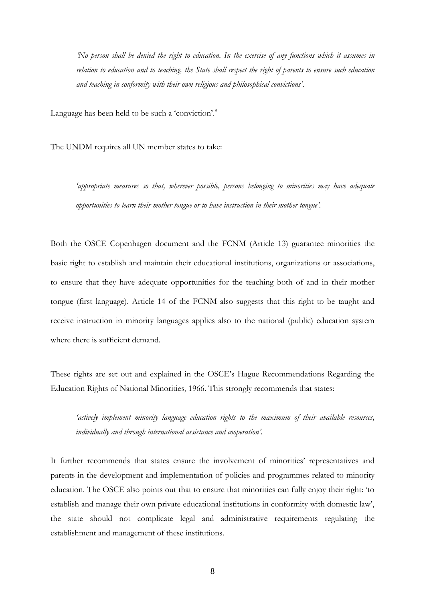*'No person shall be denied the right to education. In the exercise of any functions which it assumes in relation to education and to teaching, the State shall respect the right of parents to ensure such education and teaching in conformity with their own religious and philosophical convictions'.* 

Language has been held to be such a 'conviction'.<sup>9</sup>

The UNDM requires all UN member states to take:

*'appropriate measures so that, wherever possible, persons belonging to minorities may have adequate opportunities to learn their mother tongue or to have instruction in their mother tongue'.*

Both the OSCE Copenhagen document and the FCNM (Article 13) guarantee minorities the basic right to establish and maintain their educational institutions, organizations or associations, to ensure that they have adequate opportunities for the teaching both of and in their mother tongue (first language). Article 14 of the FCNM also suggests that this right to be taught and receive instruction in minority languages applies also to the national (public) education system where there is sufficient demand.

These rights are set out and explained in the OSCE's Hague Recommendations Regarding the Education Rights of National Minorities, 1966. This strongly recommends that states:

*'actively implement minority language education rights to the maximum of their available resources, individually and through international assistance and cooperation'.*

It further recommends that states ensure the involvement of minorities' representatives and parents in the development and implementation of policies and programmes related to minority education. The OSCE also points out that to ensure that minorities can fully enjoy their right: 'to establish and manage their own private educational institutions in conformity with domestic law', the state should not complicate legal and administrative requirements regulating the establishment and management of these institutions.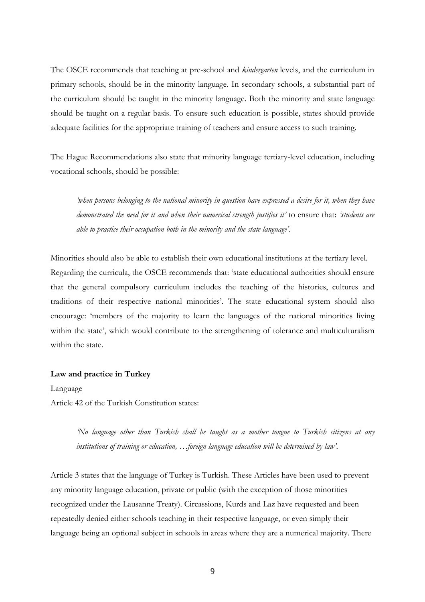The OSCE recommends that teaching at pre-school and *kindergarten* levels, and the curriculum in primary schools, should be in the minority language. In secondary schools, a substantial part of the curriculum should be taught in the minority language. Both the minority and state language should be taught on a regular basis. To ensure such education is possible, states should provide adequate facilities for the appropriate training of teachers and ensure access to such training.

The Hague Recommendations also state that minority language tertiary-level education, including vocational schools, should be possible:

*'when persons belonging to the national minority in question have expressed a desire for it, when they have demonstrated the need for it and when their numerical strength justifies it'* to ensure that: *'students are able to practice their occupation both in the minority and the state language'.*

Minorities should also be able to establish their own educational institutions at the tertiary level. Regarding the curricula, the OSCE recommends that: 'state educational authorities should ensure that the general compulsory curriculum includes the teaching of the histories, cultures and traditions of their respective national minorities'. The state educational system should also encourage: 'members of the majority to learn the languages of the national minorities living within the state', which would contribute to the strengthening of tolerance and multiculturalism within the state.

#### **Law and practice in Turkey**

#### Language

Article 42 of the Turkish Constitution states:

*'No language other than Turkish shall be taught as a mother tongue to Turkish citizens at any institutions of training or education, …foreign language education will be determined by law'*.

Article 3 states that the language of Turkey is Turkish. These Articles have been used to prevent any minority language education, private or public (with the exception of those minorities recognized under the Lausanne Treaty). Circassions, Kurds and Laz have requested and been repeatedly denied either schools teaching in their respective language, or even simply their language being an optional subject in schools in areas where they are a numerical majority. There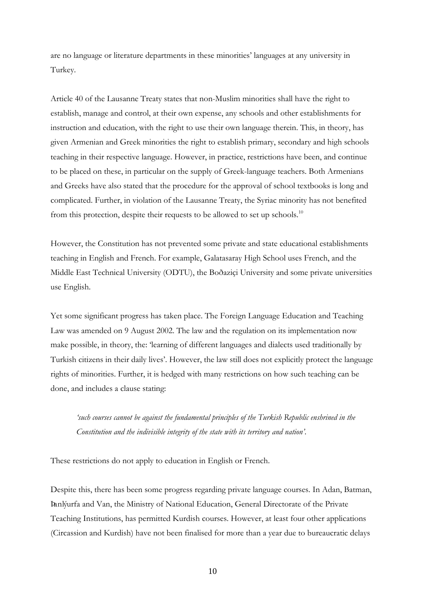are no language or literature departments in these minorities' languages at any university in Turkey.

Article 40 of the Lausanne Treaty states that non-Muslim minorities shall have the right to establish, manage and control, at their own expense, any schools and other establishments for instruction and education, with the right to use their own language therein. This, in theory, has given Armenian and Greek minorities the right to establish primary, secondary and high schools teaching in their respective language. However, in practice, restrictions have been, and continue to be placed on these, in particular on the supply of Greek-language teachers. Both Armenians and Greeks have also stated that the procedure for the approval of school textbooks is long and complicated. Further, in violation of the Lausanne Treaty, the Syriac minority has not benefited from this protection, despite their requests to be allowed to set up schools.<sup>10</sup>

However, the Constitution has not prevented some private and state educational establishments teaching in English and French. For example, Galatasaray High School uses French, and the Middle East Technical University (ODTU), the Boðaziçi University and some private universities use English.

Yet some significant progress has taken place. The Foreign Language Education and Teaching Law was amended on 9 August 2002. The law and the regulation on its implementation now make possible, in theory, the: 'learning of different languages and dialects used traditionally by Turkish citizens in their daily lives'. However, the law still does not explicitly protect the language rights of minorities. Further, it is hedged with many restrictions on how such teaching can be done, and includes a clause stating:

*'such courses cannot be against the fundamental principles of the Turkish Republic enshrined in the Constitution and the indivisible integrity of the state with its territory and nation'*.

These restrictions do not apply to education in English or French.

Despite this, there has been some progress regarding private language courses. In Adan, Batman, Þanlýurfa and Van, the Ministry of National Education, General Directorate of the Private Teaching Institutions, has permitted Kurdish courses. However, at least four other applications (Circassion and Kurdish) have not been finalised for more than a year due to bureaucratic delays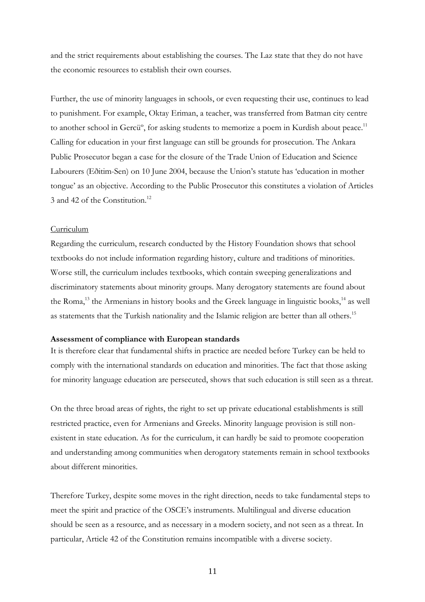and the strict requirements about establishing the courses. The Laz state that they do not have the economic resources to establish their own courses.

Further, the use of minority languages in schools, or even requesting their use, continues to lead to punishment. For example, Oktay Eriman, a teacher, was transferred from Batman city centre to another school in Gercü<sup>o</sup>, for asking students to memorize a poem in Kurdish about peace.<sup>11</sup> Calling for education in your first language can still be grounds for prosecution. The Ankara Public Prosecutor began a case for the closure of the Trade Union of Education and Science Labourers (Eðitim-Sen) on 10 June 2004, because the Union's statute has 'education in mother tongue' as an objective. According to the Public Prosecutor this constitutes a violation of Articles 3 and 42 of the Constitution.<sup>12</sup>

#### Curriculum

Regarding the curriculum, research conducted by the History Foundation shows that school textbooks do not include information regarding history, culture and traditions of minorities. Worse still, the curriculum includes textbooks, which contain sweeping generalizations and discriminatory statements about minority groups. Many derogatory statements are found about the Roma,<sup>13</sup> the Armenians in history books and the Greek language in linguistic books,  $14$  as well as statements that the Turkish nationality and the Islamic religion are better than all others.<sup>15</sup>

#### **Assessment of compliance with European standards**

It is therefore clear that fundamental shifts in practice are needed before Turkey can be held to comply with the international standards on education and minorities. The fact that those asking for minority language education are persecuted, shows that such education is still seen as a threat.

On the three broad areas of rights, the right to set up private educational establishments is still restricted practice, even for Armenians and Greeks. Minority language provision is still nonexistent in state education. As for the curriculum, it can hardly be said to promote cooperation and understanding among communities when derogatory statements remain in school textbooks about different minorities.

Therefore Turkey, despite some moves in the right direction, needs to take fundamental steps to meet the spirit and practice of the OSCE's instruments. Multilingual and diverse education should be seen as a resource, and as necessary in a modern society, and not seen as a threat. In particular, Article 42 of the Constitution remains incompatible with a diverse society.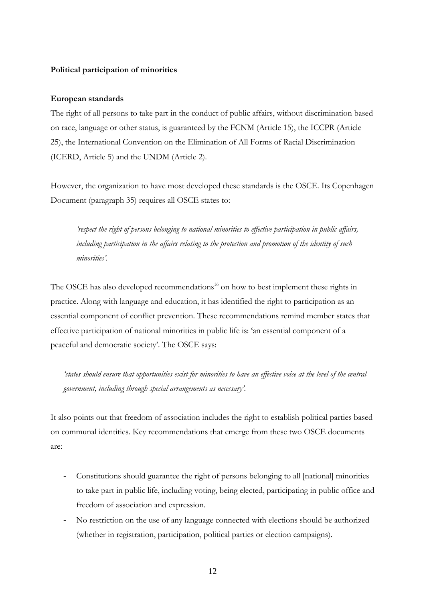## **Political participation of minorities**

#### **European standards**

The right of all persons to take part in the conduct of public affairs, without discrimination based on race, language or other status, is guaranteed by the FCNM (Article 15), the ICCPR (Article 25), the International Convention on the Elimination of All Forms of Racial Discrimination (ICERD, Article 5) and the UNDM (Article 2).

However, the organization to have most developed these standards is the OSCE. Its Copenhagen Document (paragraph 35) requires all OSCE states to:

*'respect the right of persons belonging to national minorities to effective participation in public affairs, including participation in the affairs relating to the protection and promotion of the identity of such minorities'.* 

The OSCE has also developed recommendations<sup>16</sup> on how to best implement these rights in practice. Along with language and education, it has identified the right to participation as an essential component of conflict prevention. These recommendations remind member states that effective participation of national minorities in public life is: 'an essential component of a peaceful and democratic society'. The OSCE says:

*'states should ensure that opportunities exist for minorities to have an effective voice at the level of the central government, including through special arrangements as necessary'.* 

It also points out that freedom of association includes the right to establish political parties based on communal identities. Key recommendations that emerge from these two OSCE documents are:

- Constitutions should guarantee the right of persons belonging to all [national] minorities to take part in public life, including voting, being elected, participating in public office and freedom of association and expression.
- No restriction on the use of any language connected with elections should be authorized (whether in registration, participation, political parties or election campaigns).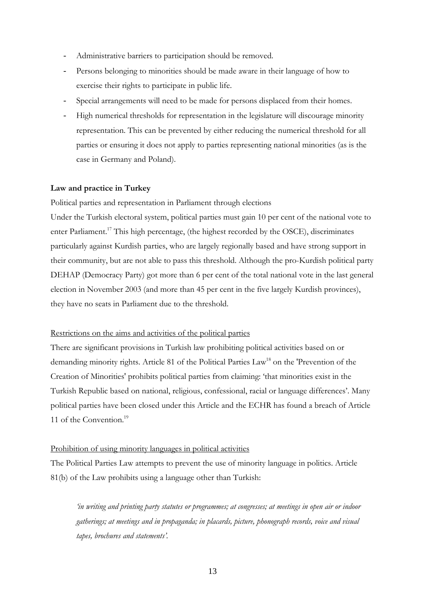- Administrative barriers to participation should be removed.
- Persons belonging to minorities should be made aware in their language of how to exercise their rights to participate in public life.
- Special arrangements will need to be made for persons displaced from their homes.
- High numerical thresholds for representation in the legislature will discourage minority representation. This can be prevented by either reducing the numerical threshold for all parties or ensuring it does not apply to parties representing national minorities (as is the case in Germany and Poland).

#### **Law and practice in Turkey**

Political parties and representation in Parliament through elections

Under the Turkish electoral system, political parties must gain 10 per cent of the national vote to enter Parliament.<sup>17</sup> This high percentage, (the highest recorded by the OSCE), discriminates particularly against Kurdish parties, who are largely regionally based and have strong support in their community, but are not able to pass this threshold. Although the pro-Kurdish political party DEHAP (Democracy Party) got more than 6 per cent of the total national vote in the last general election in November 2003 (and more than 45 per cent in the five largely Kurdish provinces), they have no seats in Parliament due to the threshold.

#### Restrictions on the aims and activities of the political parties

There are significant provisions in Turkish law prohibiting political activities based on or demanding minority rights. Article 81 of the Political Parties Law<sup>18</sup> on the 'Prevention of the Creation of Minorities' prohibits political parties from claiming: 'that minorities exist in the Turkish Republic based on national, religious, confessional, racial or language differences'. Many political parties have been closed under this Article and the ECHR has found a breach of Article 11 of the Convention.<sup>19</sup>

#### Prohibition of using minority languages in political activities

The Political Parties Law attempts to prevent the use of minority language in politics. Article 81(b) of the Law prohibits using a language other than Turkish:

*'in writing and printing party statutes or programmes; at congresses; at meetings in open air or indoor gatherings; at meetings and in propaganda; in placards, picture, phonograph records, voice and visual tapes, brochures and statements'.*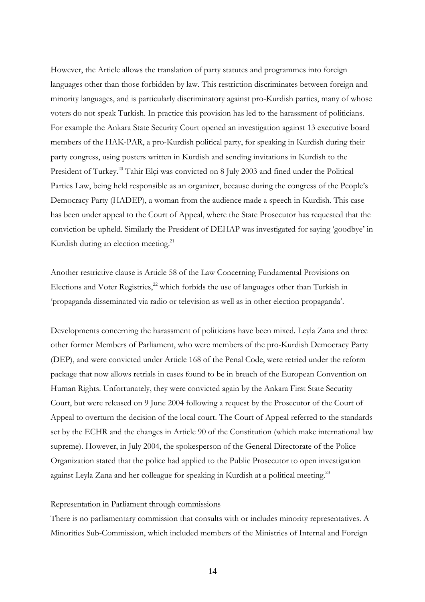However, the Article allows the translation of party statutes and programmes into foreign languages other than those forbidden by law. This restriction discriminates between foreign and minority languages, and is particularly discriminatory against pro-Kurdish parties, many of whose voters do not speak Turkish. In practice this provision has led to the harassment of politicians. For example the Ankara State Security Court opened an investigation against 13 executive board members of the HAK-PAR, a pro-Kurdish political party, for speaking in Kurdish during their party congress, using posters written in Kurdish and sending invitations in Kurdish to the President of Turkey.<sup>20</sup> Tahir Elçi was convicted on 8 July 2003 and fined under the Political Parties Law, being held responsible as an organizer, because during the congress of the People's Democracy Party (HADEP), a woman from the audience made a speech in Kurdish. This case has been under appeal to the Court of Appeal, where the State Prosecutor has requested that the conviction be upheld. Similarly the President of DEHAP was investigated for saying 'goodbye' in Kurdish during an election meeting.<sup>21</sup>

Another restrictive clause is Article 58 of the Law Concerning Fundamental Provisions on Elections and Voter Registries, $^{22}$  which forbids the use of languages other than Turkish in 'propaganda disseminated via radio or television as well as in other election propaganda'.

Developments concerning the harassment of politicians have been mixed. Leyla Zana and three other former Members of Parliament, who were members of the pro-Kurdish Democracy Party (DEP), and were convicted under Article 168 of the Penal Code, were retried under the reform package that now allows retrials in cases found to be in breach of the European Convention on Human Rights. Unfortunately, they were convicted again by the Ankara First State Security Court, but were released on 9 June 2004 following a request by the Prosecutor of the Court of Appeal to overturn the decision of the local court. The Court of Appeal referred to the standards set by the ECHR and the changes in Article 90 of the Constitution (which make international law supreme). However, in July 2004, the spokesperson of the General Directorate of the Police Organization stated that the police had applied to the Public Prosecutor to open investigation against Leyla Zana and her colleague for speaking in Kurdish at a political meeting.<sup>23</sup>

## Representation in Parliament through commissions

There is no parliamentary commission that consults with or includes minority representatives. A Minorities Sub-Commission, which included members of the Ministries of Internal and Foreign

14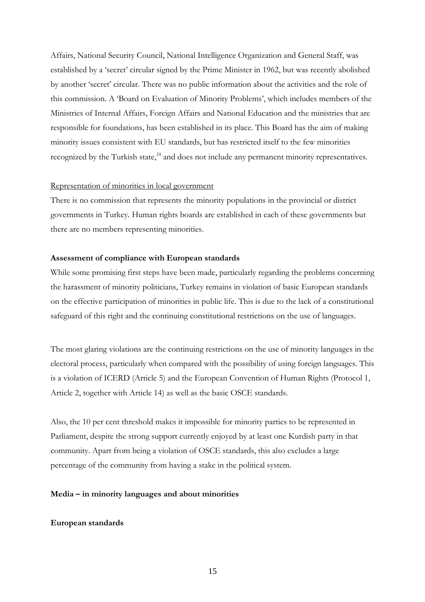Affairs, National Security Council, National Intelligence Organization and General Staff, was established by a 'secret' circular signed by the Prime Minister in 1962, but was recently abolished by another 'secret' circular. There was no public information about the activities and the role of this commission. A 'Board on Evaluation of Minority Problems', which includes members of the Ministries of Internal Affairs, Foreign Affairs and National Education and the ministries that are responsible for foundations, has been established in its place. This Board has the aim of making minority issues consistent with EU standards, but has restricted itself to the few minorities recognized by the Turkish state.<sup>24</sup> and does not include any permanent minority representatives.

## Representation of minorities in local government

There is no commission that represents the minority populations in the provincial or district governments in Turkey. Human rights boards are established in each of these governments but there are no members representing minorities.

#### **Assessment of compliance with European standards**

While some promising first steps have been made, particularly regarding the problems concerning the harassment of minority politicians, Turkey remains in violation of basic European standards on the effective participation of minorities in public life. This is due to the lack of a constitutional safeguard of this right and the continuing constitutional restrictions on the use of languages.

The most glaring violations are the continuing restrictions on the use of minority languages in the electoral process, particularly when compared with the possibility of using foreign languages. This is a violation of ICERD (Article 5) and the European Convention of Human Rights (Protocol 1, Article 2, together with Article 14) as well as the basic OSCE standards.

Also, the 10 per cent threshold makes it impossible for minority parties to be represented in Parliament, despite the strong support currently enjoyed by at least one Kurdish party in that community. Apart from being a violation of OSCE standards, this also excludes a large percentage of the community from having a stake in the political system.

#### **Media – in minority languages and about minorities**

#### **European standards**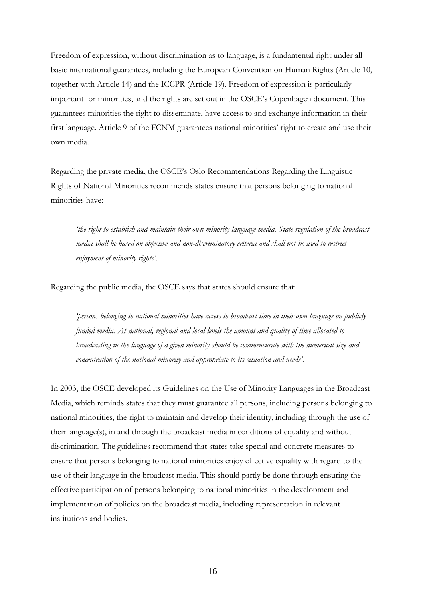Freedom of expression, without discrimination as to language, is a fundamental right under all basic international guarantees, including the European Convention on Human Rights (Article 10, together with Article 14) and the ICCPR (Article 19). Freedom of expression is particularly important for minorities, and the rights are set out in the OSCE's Copenhagen document. This guarantees minorities the right to disseminate, have access to and exchange information in their first language. Article 9 of the FCNM guarantees national minorities' right to create and use their own media.

Regarding the private media, the OSCE's Oslo Recommendations Regarding the Linguistic Rights of National Minorities recommends states ensure that persons belonging to national minorities have:

*'the right to establish and maintain their own minority language media. State regulation of the broadcast media shall be based on objective and non-discriminatory criteria and shall not be used to restrict enjoyment of minority rights'.*

Regarding the public media, the OSCE says that states should ensure that:

*'persons belonging to national minorities have access to broadcast time in their own language on publicly funded media. At national, regional and local levels the amount and quality of time allocated to broadcasting in the language of a given minority should be commensurate with the numerical size and concentration of the national minority and appropriate to its situation and needs'.*

In 2003, the OSCE developed its Guidelines on the Use of Minority Languages in the Broadcast Media, which reminds states that they must guarantee all persons, including persons belonging to national minorities, the right to maintain and develop their identity, including through the use of their language(s), in and through the broadcast media in conditions of equality and without discrimination. The guidelines recommend that states take special and concrete measures to ensure that persons belonging to national minorities enjoy effective equality with regard to the use of their language in the broadcast media. This should partly be done through ensuring the effective participation of persons belonging to national minorities in the development and implementation of policies on the broadcast media, including representation in relevant institutions and bodies.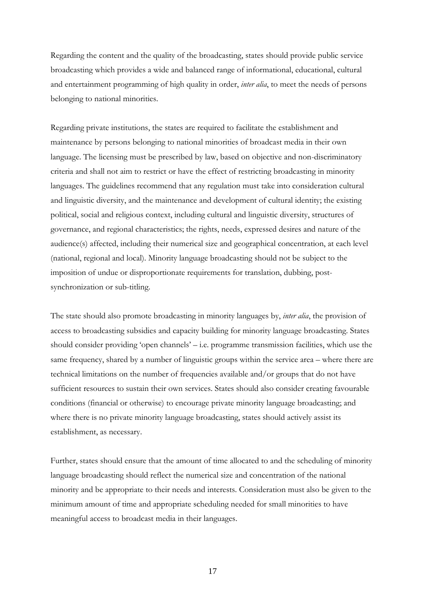Regarding the content and the quality of the broadcasting, states should provide public service broadcasting which provides a wide and balanced range of informational, educational, cultural and entertainment programming of high quality in order, *inter alia*, to meet the needs of persons belonging to national minorities.

Regarding private institutions, the states are required to facilitate the establishment and maintenance by persons belonging to national minorities of broadcast media in their own language. The licensing must be prescribed by law, based on objective and non-discriminatory criteria and shall not aim to restrict or have the effect of restricting broadcasting in minority languages. The guidelines recommend that any regulation must take into consideration cultural and linguistic diversity, and the maintenance and development of cultural identity; the existing political, social and religious context, including cultural and linguistic diversity, structures of governance, and regional characteristics; the rights, needs, expressed desires and nature of the audience(s) affected, including their numerical size and geographical concentration, at each level (national, regional and local). Minority language broadcasting should not be subject to the imposition of undue or disproportionate requirements for translation, dubbing, postsynchronization or sub-titling.

The state should also promote broadcasting in minority languages by, *inter alia*, the provision of access to broadcasting subsidies and capacity building for minority language broadcasting. States should consider providing 'open channels' – i.e. programme transmission facilities, which use the same frequency, shared by a number of linguistic groups within the service area – where there are technical limitations on the number of frequencies available and/or groups that do not have sufficient resources to sustain their own services. States should also consider creating favourable conditions (financial or otherwise) to encourage private minority language broadcasting; and where there is no private minority language broadcasting, states should actively assist its establishment, as necessary.

Further, states should ensure that the amount of time allocated to and the scheduling of minority language broadcasting should reflect the numerical size and concentration of the national minority and be appropriate to their needs and interests. Consideration must also be given to the minimum amount of time and appropriate scheduling needed for small minorities to have meaningful access to broadcast media in their languages.

17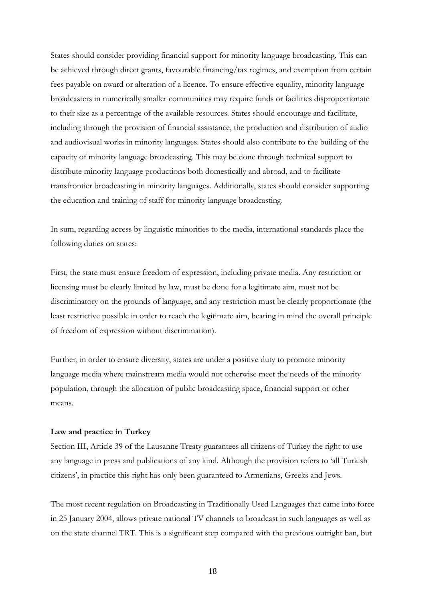States should consider providing financial support for minority language broadcasting. This can be achieved through direct grants, favourable financing/tax regimes, and exemption from certain fees payable on award or alteration of a licence. To ensure effective equality, minority language broadcasters in numerically smaller communities may require funds or facilities disproportionate to their size as a percentage of the available resources. States should encourage and facilitate, including through the provision of financial assistance, the production and distribution of audio and audiovisual works in minority languages. States should also contribute to the building of the capacity of minority language broadcasting. This may be done through technical support to distribute minority language productions both domestically and abroad, and to facilitate transfrontier broadcasting in minority languages. Additionally, states should consider supporting the education and training of staff for minority language broadcasting.

In sum, regarding access by linguistic minorities to the media, international standards place the following duties on states:

First, the state must ensure freedom of expression, including private media. Any restriction or licensing must be clearly limited by law, must be done for a legitimate aim, must not be discriminatory on the grounds of language, and any restriction must be clearly proportionate (the least restrictive possible in order to reach the legitimate aim, bearing in mind the overall principle of freedom of expression without discrimination).

Further, in order to ensure diversity, states are under a positive duty to promote minority language media where mainstream media would not otherwise meet the needs of the minority population, through the allocation of public broadcasting space, financial support or other means.

#### **Law and practice in Turkey**

Section III, Article 39 of the Lausanne Treaty guarantees all citizens of Turkey the right to use any language in press and publications of any kind. Although the provision refers to 'all Turkish citizens', in practice this right has only been guaranteed to Armenians, Greeks and Jews.

The most recent regulation on Broadcasting in Traditionally Used Languages that came into force in 25 January 2004, allows private national TV channels to broadcast in such languages as well as on the state channel TRT. This is a significant step compared with the previous outright ban, but

18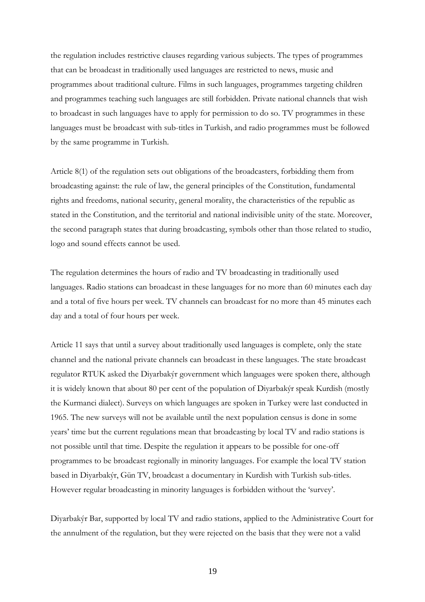the regulation includes restrictive clauses regarding various subjects. The types of programmes that can be broadcast in traditionally used languages are restricted to news, music and programmes about traditional culture. Films in such languages, programmes targeting children and programmes teaching such languages are still forbidden. Private national channels that wish to broadcast in such languages have to apply for permission to do so. TV programmes in these languages must be broadcast with sub-titles in Turkish, and radio programmes must be followed by the same programme in Turkish.

Article 8(1) of the regulation sets out obligations of the broadcasters, forbidding them from broadcasting against: the rule of law, the general principles of the Constitution, fundamental rights and freedoms, national security, general morality, the characteristics of the republic as stated in the Constitution, and the territorial and national indivisible unity of the state. Moreover, the second paragraph states that during broadcasting, symbols other than those related to studio, logo and sound effects cannot be used.

The regulation determines the hours of radio and TV broadcasting in traditionally used languages. Radio stations can broadcast in these languages for no more than 60 minutes each day and a total of five hours per week. TV channels can broadcast for no more than 45 minutes each day and a total of four hours per week.

Article 11 says that until a survey about traditionally used languages is complete, only the state channel and the national private channels can broadcast in these languages. The state broadcast regulator RTUK asked the Diyarbakýr government which languages were spoken there, although it is widely known that about 80 per cent of the population of Diyarbakýr speak Kurdish (mostly the Kurmanci dialect). Surveys on which languages are spoken in Turkey were last conducted in 1965. The new surveys will not be available until the next population census is done in some years' time but the current regulations mean that broadcasting by local TV and radio stations is not possible until that time. Despite the regulation it appears to be possible for one-off programmes to be broadcast regionally in minority languages. For example the local TV station based in Diyarbakýr, Gün TV, broadcast a documentary in Kurdish with Turkish sub-titles. However regular broadcasting in minority languages is forbidden without the 'survey'.

Diyarbakýr Bar, supported by local TV and radio stations, applied to the Administrative Court for the annulment of the regulation, but they were rejected on the basis that they were not a valid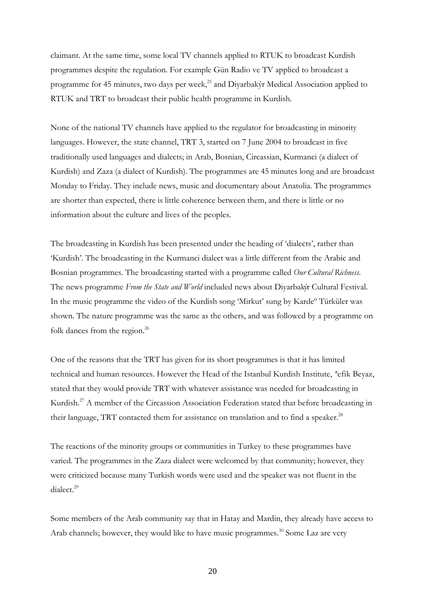claimant. At the same time, some local TV channels applied to RTUK to broadcast Kurdish programmes despite the regulation. For example Gün Radio ve TV applied to broadcast a programme for 45 minutes, two days per week, $^{25}$  and Diyarbakýr Medical Association applied to RTUK and TRT to broadcast their public health programme in Kurdish.

None of the national TV channels have applied to the regulator for broadcasting in minority languages. However, the state channel, TRT 3, started on 7 June 2004 to broadcast in five traditionally used languages and dialects; in Arab, Bosnian, Circassian, Kurmanci (a dialect of Kurdish) and Zaza (a dialect of Kurdish). The programmes are 45 minutes long and are broadcast Monday to Friday. They include news, music and documentary about Anatolia. The programmes are shorter than expected, there is little coherence between them, and there is little or no information about the culture and lives of the peoples.

The broadcasting in Kurdish has been presented under the heading of 'dialects', rather than 'Kurdish'. The broadcasting in the Kurmanci dialect was a little different from the Arabic and Bosnian programmes. The broadcasting started with a programme called *Our Cultural Richness*. The news programme *From the State and World* included news about Diyarbakýr Cultural Festival. In the music programme the video of the Kurdish song 'Mirkut' sung by Kardeº Türküler was shown. The nature programme was the same as the others, and was followed by a programme on folk dances from the region.<sup>26</sup>

One of the reasons that the TRT has given for its short programmes is that it has limited technical and human resources. However the Head of the Istanbul Kurdish Institute, ªefik Beyaz, stated that they would provide TRT with whatever assistance was needed for broadcasting in Kurdish.<sup>27</sup> A member of the Circassion Association Federation stated that before broadcasting in their language, TRT contacted them for assistance on translation and to find a speaker.<sup>28</sup>

The reactions of the minority groups or communities in Turkey to these programmes have varied. The programmes in the Zaza dialect were welcomed by that community; however, they were criticized because many Turkish words were used and the speaker was not fluent in the dialect.<sup>29</sup>

Some members of the Arab community say that in Hatay and Mardin, they already have access to Arab channels; however, they would like to have music programmes.<sup>30</sup> Some Laz are very

20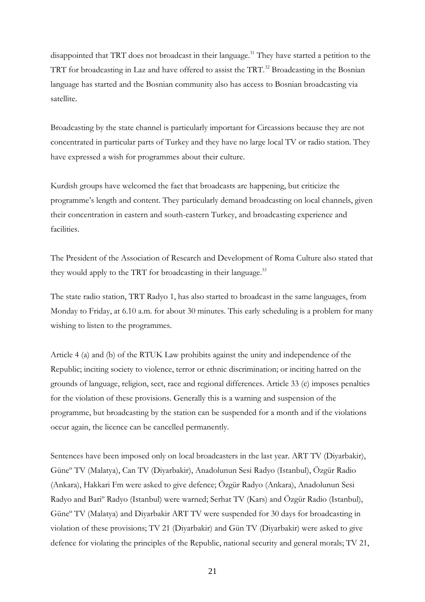disappointed that TRT does not broadcast in their language.<sup>31</sup> They have started a petition to the TRT for broadcasting in Laz and have offered to assist the TRT.<sup>32</sup> Broadcasting in the Bosnian language has started and the Bosnian community also has access to Bosnian broadcasting via satellite.

Broadcasting by the state channel is particularly important for Circassions because they are not concentrated in particular parts of Turkey and they have no large local TV or radio station. They have expressed a wish for programmes about their culture.

Kurdish groups have welcomed the fact that broadcasts are happening, but criticize the programme's length and content. They particularly demand broadcasting on local channels, given their concentration in eastern and south-eastern Turkey, and broadcasting experience and facilities.

The President of the Association of Research and Development of Roma Culture also stated that they would apply to the TRT for broadcasting in their language.<sup>33</sup>

The state radio station, TRT Radyo 1, has also started to broadcast in the same languages, from Monday to Friday, at 6.10 a.m. for about 30 minutes. This early scheduling is a problem for many wishing to listen to the programmes.

Article 4 (a) and (b) of the RTUK Law prohibits against the unity and independence of the Republic; inciting society to violence, terror or ethnic discrimination; or inciting hatred on the grounds of language, religion, sect, race and regional differences. Article 33 (c) imposes penalties for the violation of these provisions. Generally this is a warning and suspension of the programme, but broadcasting by the station can be suspended for a month and if the violations occur again, the licence can be cancelled permanently.

Sentences have been imposed only on local broadcasters in the last year. ART TV (Diyarbakir), Güneº TV (Malatya), Can TV (Diyarbakir), Anadolunun Sesi Radyo (Istanbul), Özgür Radio (Ankara), Hakkari Fm were asked to give defence; Özgür Radyo (Ankara), Anadolunun Sesi Radyo and Bariº Radyo (Istanbul) were warned; Serhat TV (Kars) and Özgür Radio (Istanbul), Güneº TV (Malatya) and Diyarbakir ART TV were suspended for 30 days for broadcasting in violation of these provisions; TV 21 (Diyarbakir) and Gün TV (Diyarbakir) were asked to give defence for violating the principles of the Republic, national security and general morals; TV 21,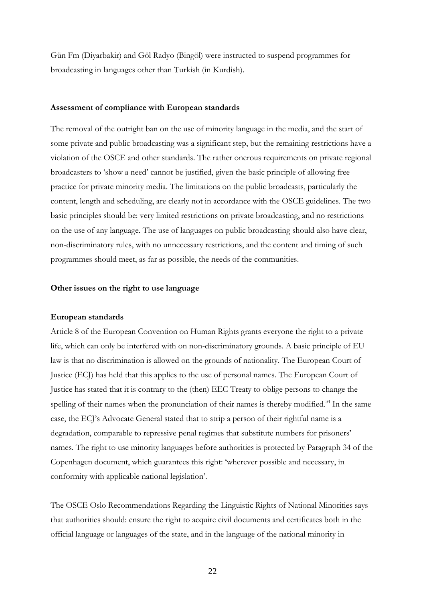Gün Fm (Diyarbakir) and Göl Radyo (Bingöl) were instructed to suspend programmes for broadcasting in languages other than Turkish (in Kurdish).

#### **Assessment of compliance with European standards**

The removal of the outright ban on the use of minority language in the media, and the start of some private and public broadcasting was a significant step, but the remaining restrictions have a violation of the OSCE and other standards. The rather onerous requirements on private regional broadcasters to 'show a need' cannot be justified, given the basic principle of allowing free practice for private minority media. The limitations on the public broadcasts, particularly the content, length and scheduling, are clearly not in accordance with the OSCE guidelines. The two basic principles should be: very limited restrictions on private broadcasting, and no restrictions on the use of any language. The use of languages on public broadcasting should also have clear, non-discriminatory rules, with no unnecessary restrictions, and the content and timing of such programmes should meet, as far as possible, the needs of the communities.

#### **Other issues on the right to use language**

#### **European standards**

Article 8 of the European Convention on Human Rights grants everyone the right to a private life, which can only be interfered with on non-discriminatory grounds. A basic principle of EU law is that no discrimination is allowed on the grounds of nationality. The European Court of Justice (ECJ) has held that this applies to the use of personal names. The European Court of Justice has stated that it is contrary to the (then) EEC Treaty to oblige persons to change the spelling of their names when the pronunciation of their names is thereby modified.<sup>34</sup> In the same case, the ECJ's Advocate General stated that to strip a person of their rightful name is a degradation, comparable to repressive penal regimes that substitute numbers for prisoners' names. The right to use minority languages before authorities is protected by Paragraph 34 of the Copenhagen document, which guarantees this right: 'wherever possible and necessary, in conformity with applicable national legislation'.

The OSCE Oslo Recommendations Regarding the Linguistic Rights of National Minorities says that authorities should: ensure the right to acquire civil documents and certificates both in the official language or languages of the state, and in the language of the national minority in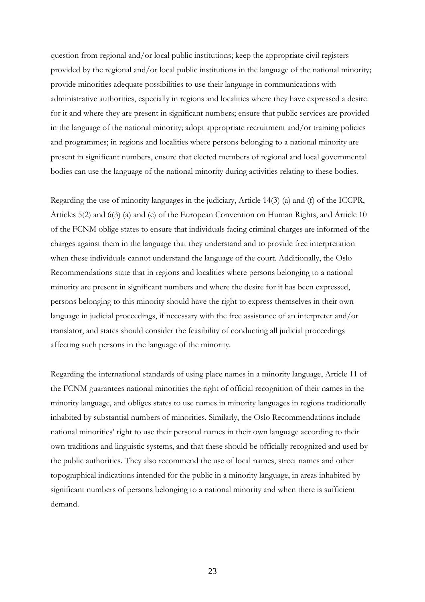question from regional and/or local public institutions; keep the appropriate civil registers provided by the regional and/or local public institutions in the language of the national minority; provide minorities adequate possibilities to use their language in communications with administrative authorities, especially in regions and localities where they have expressed a desire for it and where they are present in significant numbers; ensure that public services are provided in the language of the national minority; adopt appropriate recruitment and/or training policies and programmes; in regions and localities where persons belonging to a national minority are present in significant numbers, ensure that elected members of regional and local governmental bodies can use the language of the national minority during activities relating to these bodies.

Regarding the use of minority languages in the judiciary, Article 14(3) (a) and (f) of the ICCPR, Articles 5(2) and 6(3) (a) and (e) of the European Convention on Human Rights, and Article 10 of the FCNM oblige states to ensure that individuals facing criminal charges are informed of the charges against them in the language that they understand and to provide free interpretation when these individuals cannot understand the language of the court. Additionally, the Oslo Recommendations state that in regions and localities where persons belonging to a national minority are present in significant numbers and where the desire for it has been expressed, persons belonging to this minority should have the right to express themselves in their own language in judicial proceedings, if necessary with the free assistance of an interpreter and/or translator, and states should consider the feasibility of conducting all judicial proceedings affecting such persons in the language of the minority.

Regarding the international standards of using place names in a minority language, Article 11 of the FCNM guarantees national minorities the right of official recognition of their names in the minority language, and obliges states to use names in minority languages in regions traditionally inhabited by substantial numbers of minorities. Similarly, the Oslo Recommendations include national minorities' right to use their personal names in their own language according to their own traditions and linguistic systems, and that these should be officially recognized and used by the public authorities. They also recommend the use of local names, street names and other topographical indications intended for the public in a minority language, in areas inhabited by significant numbers of persons belonging to a national minority and when there is sufficient demand.

23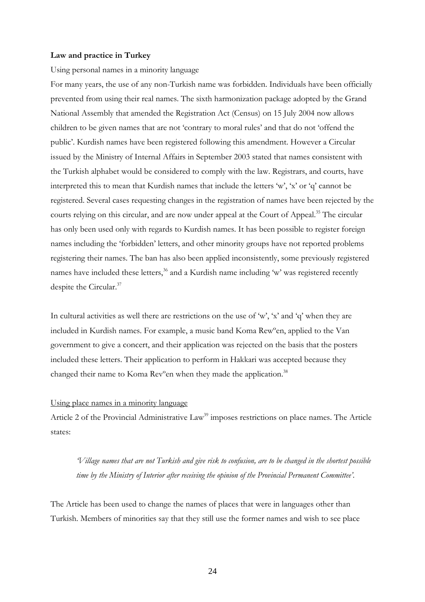#### **Law and practice in Turkey**

Using personal names in a minority language

For many years, the use of any non-Turkish name was forbidden. Individuals have been officially prevented from using their real names. The sixth harmonization package adopted by the Grand National Assembly that amended the Registration Act (Census) on 15 July 2004 now allows children to be given names that are not 'contrary to moral rules' and that do not 'offend the public'. Kurdish names have been registered following this amendment. However a Circular issued by the Ministry of Internal Affairs in September 2003 stated that names consistent with the Turkish alphabet would be considered to comply with the law. Registrars, and courts, have interpreted this to mean that Kurdish names that include the letters 'w', 'x' or 'q' cannot be registered. Several cases requesting changes in the registration of names have been rejected by the courts relying on this circular, and are now under appeal at the Court of Appeal.<sup>35</sup> The circular has only been used only with regards to Kurdish names. It has been possible to register foreign names including the 'forbidden' letters, and other minority groups have not reported problems registering their names. The ban has also been applied inconsistently, some previously registered names have included these letters,<sup>36</sup> and a Kurdish name including 'w' was registered recently despite the Circular.<sup>37</sup>

In cultural activities as well there are restrictions on the use of 'w', 'x' and 'q' when they are included in Kurdish names. For example, a music band Koma Rewºen, applied to the Van government to give a concert, and their application was rejected on the basis that the posters included these letters. Their application to perform in Hakkari was accepted because they changed their name to Koma Rev°en when they made the application.<sup>38</sup>

## Using place names in a minority language

Article 2 of the Provincial Administrative Law<sup>39</sup> imposes restrictions on place names. The Article states:

*'Village names that are not Turkish and give risk to confusion, are to be changed in the shortest possible time by the Ministry of Interior after receiving the opinion of the Provincial Permanent Committee'*.

The Article has been used to change the names of places that were in languages other than Turkish. Members of minorities say that they still use the former names and wish to see place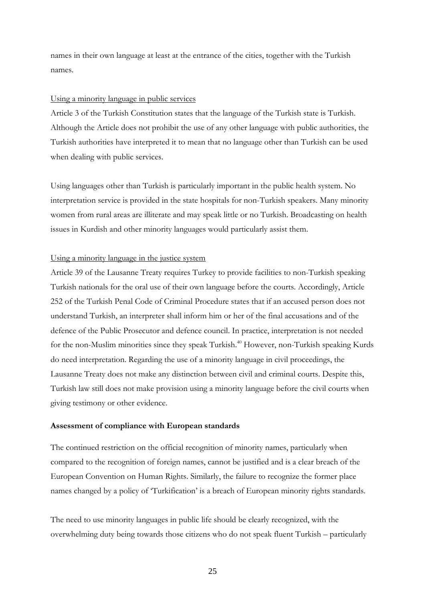names in their own language at least at the entrance of the cities, together with the Turkish names.

#### Using a minority language in public services

Article 3 of the Turkish Constitution states that the language of the Turkish state is Turkish. Although the Article does not prohibit the use of any other language with public authorities, the Turkish authorities have interpreted it to mean that no language other than Turkish can be used when dealing with public services.

Using languages other than Turkish is particularly important in the public health system. No interpretation service is provided in the state hospitals for non-Turkish speakers. Many minority women from rural areas are illiterate and may speak little or no Turkish. Broadcasting on health issues in Kurdish and other minority languages would particularly assist them.

#### Using a minority language in the justice system

Article 39 of the Lausanne Treaty requires Turkey to provide facilities to non-Turkish speaking Turkish nationals for the oral use of their own language before the courts. Accordingly, Article 252 of the Turkish Penal Code of Criminal Procedure states that if an accused person does not understand Turkish, an interpreter shall inform him or her of the final accusations and of the defence of the Public Prosecutor and defence council. In practice, interpretation is not needed for the non-Muslim minorities since they speak Turkish.<sup>40</sup> However, non-Turkish speaking Kurds do need interpretation. Regarding the use of a minority language in civil proceedings, the Lausanne Treaty does not make any distinction between civil and criminal courts. Despite this, Turkish law still does not make provision using a minority language before the civil courts when giving testimony or other evidence.

#### **Assessment of compliance with European standards**

The continued restriction on the official recognition of minority names, particularly when compared to the recognition of foreign names, cannot be justified and is a clear breach of the European Convention on Human Rights. Similarly, the failure to recognize the former place names changed by a policy of 'Turkification' is a breach of European minority rights standards.

The need to use minority languages in public life should be clearly recognized, with the overwhelming duty being towards those citizens who do not speak fluent Turkish – particularly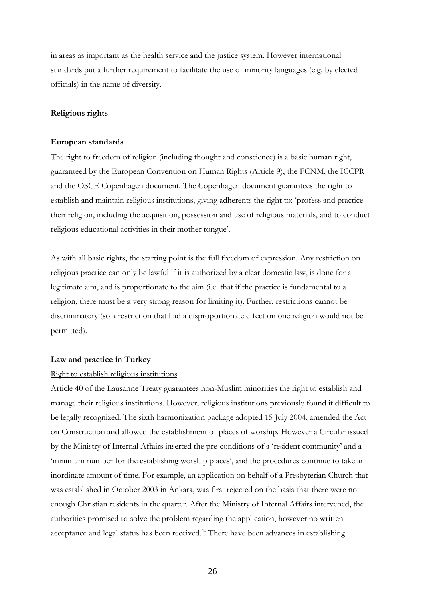in areas as important as the health service and the justice system. However international standards put a further requirement to facilitate the use of minority languages (e.g. by elected officials) in the name of diversity.

## **Religious rights**

#### **European standards**

The right to freedom of religion (including thought and conscience) is a basic human right, guaranteed by the European Convention on Human Rights (Article 9), the FCNM, the ICCPR and the OSCE Copenhagen document. The Copenhagen document guarantees the right to establish and maintain religious institutions, giving adherents the right to: 'profess and practice their religion, including the acquisition, possession and use of religious materials, and to conduct religious educational activities in their mother tongue'.

As with all basic rights, the starting point is the full freedom of expression. Any restriction on religious practice can only be lawful if it is authorized by a clear domestic law, is done for a legitimate aim, and is proportionate to the aim (i.e. that if the practice is fundamental to a religion, there must be a very strong reason for limiting it). Further, restrictions cannot be discriminatory (so a restriction that had a disproportionate effect on one religion would not be permitted).

#### **Law and practice in Turkey**

#### Right to establish religious institutions

Article 40 of the Lausanne Treaty guarantees non-Muslim minorities the right to establish and manage their religious institutions. However, religious institutions previously found it difficult to be legally recognized. The sixth harmonization package adopted 15 July 2004, amended the Act on Construction and allowed the establishment of places of worship. However a Circular issued by the Ministry of Internal Affairs inserted the pre-conditions of a 'resident community' and a 'minimum number for the establishing worship places', and the procedures continue to take an inordinate amount of time. For example, an application on behalf of a Presbyterian Church that was established in October 2003 in Ankara, was first rejected on the basis that there were not enough Christian residents in the quarter. After the Ministry of Internal Affairs intervened, the authorities promised to solve the problem regarding the application, however no written acceptance and legal status has been received.<sup>41</sup> There have been advances in establishing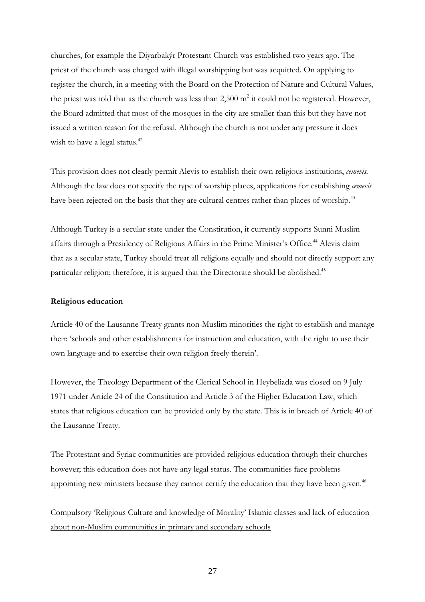churches, for example the Diyarbakýr Protestant Church was established two years ago. The priest of the church was charged with illegal worshipping but was acquitted. On applying to register the church, in a meeting with the Board on the Protection of Nature and Cultural Values, the priest was told that as the church was less than 2,500  $m^2$  it could not be registered. However, the Board admitted that most of the mosques in the city are smaller than this but they have not issued a written reason for the refusal. Although the church is not under any pressure it does wish to have a legal status.<sup>42</sup>

This provision does not clearly permit Alevis to establish their own religious institutions, *cemevis*. Although the law does not specify the type of worship places, applications for establishing *cemevis* have been rejected on the basis that they are cultural centres rather than places of worship.<sup>43</sup>

Although Turkey is a secular state under the Constitution, it currently supports Sunni Muslim affairs through a Presidency of Religious Affairs in the Prime Minister's Office.<sup>44</sup> Alevis claim that as a secular state, Turkey should treat all religions equally and should not directly support any particular religion; therefore, it is argued that the Directorate should be abolished.<sup>45</sup>

#### **Religious education**

Article 40 of the Lausanne Treaty grants non-Muslim minorities the right to establish and manage their: 'schools and other establishments for instruction and education, with the right to use their own language and to exercise their own religion freely therein'.

However, the Theology Department of the Clerical School in Heybeliada was closed on 9 July 1971 under Article 24 of the Constitution and Article 3 of the Higher Education Law, which states that religious education can be provided only by the state. This is in breach of Article 40 of the Lausanne Treaty.

The Protestant and Syriac communities are provided religious education through their churches however; this education does not have any legal status. The communities face problems appointing new ministers because they cannot certify the education that they have been given.<sup>46</sup>

Compulsory 'Religious Culture and knowledge of Morality' Islamic classes and lack of education about non-Muslim communities in primary and secondary schools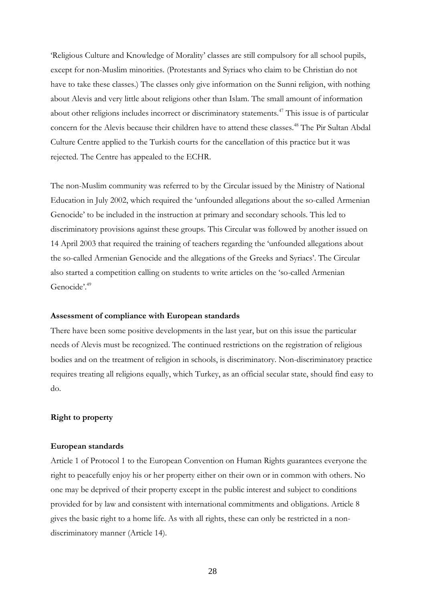'Religious Culture and Knowledge of Morality' classes are still compulsory for all school pupils, except for non-Muslim minorities. (Protestants and Syriacs who claim to be Christian do not have to take these classes.) The classes only give information on the Sunni religion, with nothing about Alevis and very little about religions other than Islam. The small amount of information about other religions includes incorrect or discriminatory statements.<sup>47</sup> This issue is of particular concern for the Alevis because their children have to attend these classes.<sup>48</sup> The Pir Sultan Abdal Culture Centre applied to the Turkish courts for the cancellation of this practice but it was rejected. The Centre has appealed to the ECHR.

The non-Muslim community was referred to by the Circular issued by the Ministry of National Education in July 2002, which required the 'unfounded allegations about the so-called Armenian Genocide' to be included in the instruction at primary and secondary schools. This led to discriminatory provisions against these groups. This Circular was followed by another issued on 14 April 2003 that required the training of teachers regarding the 'unfounded allegations about the so-called Armenian Genocide and the allegations of the Greeks and Syriacs'. The Circular also started a competition calling on students to write articles on the 'so-called Armenian Genocide'.<sup>49</sup>

#### **Assessment of compliance with European standards**

There have been some positive developments in the last year, but on this issue the particular needs of Alevis must be recognized. The continued restrictions on the registration of religious bodies and on the treatment of religion in schools, is discriminatory. Non-discriminatory practice requires treating all religions equally, which Turkey, as an official secular state, should find easy to do.

#### **Right to property**

#### **European standards**

Article 1 of Protocol 1 to the European Convention on Human Rights guarantees everyone the right to peacefully enjoy his or her property either on their own or in common with others. No one may be deprived of their property except in the public interest and subject to conditions provided for by law and consistent with international commitments and obligations. Article 8 gives the basic right to a home life. As with all rights, these can only be restricted in a nondiscriminatory manner (Article 14).

28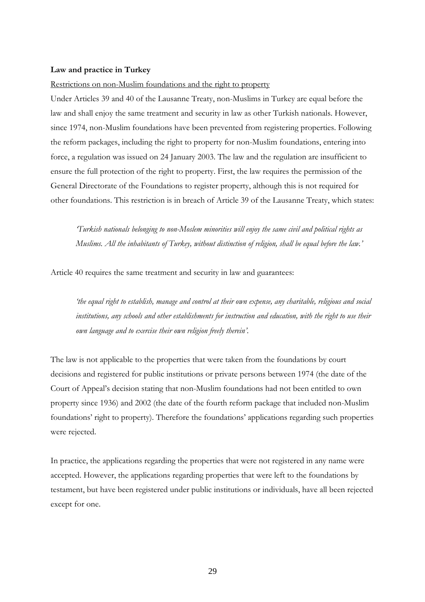#### **Law and practice in Turkey**

#### Restrictions on non-Muslim foundations and the right to property

Under Articles 39 and 40 of the Lausanne Treaty, non-Muslims in Turkey are equal before the law and shall enjoy the same treatment and security in law as other Turkish nationals. However, since 1974, non-Muslim foundations have been prevented from registering properties. Following the reform packages, including the right to property for non-Muslim foundations, entering into force, a regulation was issued on 24 January 2003. The law and the regulation are insufficient to ensure the full protection of the right to property. First, the law requires the permission of the General Directorate of the Foundations to register property, although this is not required for other foundations. This restriction is in breach of Article 39 of the Lausanne Treaty, which states:

*'Turkish nationals belonging to non-Moslem minorities will enjoy the same civil and political rights as Muslims. All the inhabitants of Turkey, without distinction of religion, shall be equal before the law.'*

Article 40 requires the same treatment and security in law and guarantees:

*'the equal right to establish, manage and control at their own expense, any charitable, religious and social institutions, any schools and other establishments for instruction and education, with the right to use their own language and to exercise their own religion freely therein'*.

The law is not applicable to the properties that were taken from the foundations by court decisions and registered for public institutions or private persons between 1974 (the date of the Court of Appeal's decision stating that non-Muslim foundations had not been entitled to own property since 1936) and 2002 (the date of the fourth reform package that included non-Muslim foundations' right to property). Therefore the foundations' applications regarding such properties were rejected.

In practice, the applications regarding the properties that were not registered in any name were accepted. However, the applications regarding properties that were left to the foundations by testament, but have been registered under public institutions or individuals, have all been rejected except for one.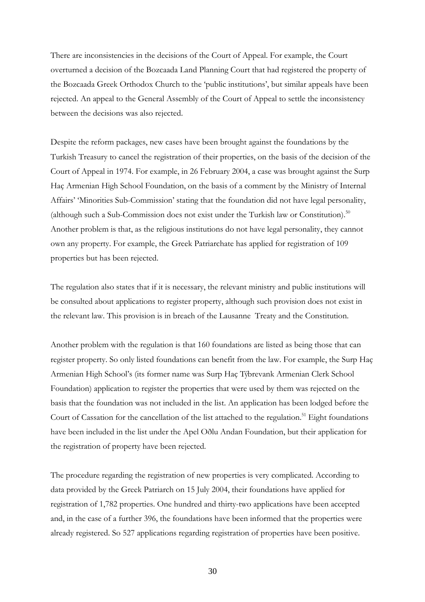There are inconsistencies in the decisions of the Court of Appeal. For example, the Court overturned a decision of the Bozcaada Land Planning Court that had registered the property of the Bozcaada Greek Orthodox Church to the 'public institutions', but similar appeals have been rejected. An appeal to the General Assembly of the Court of Appeal to settle the inconsistency between the decisions was also rejected.

Despite the reform packages, new cases have been brought against the foundations by the Turkish Treasury to cancel the registration of their properties, on the basis of the decision of the Court of Appeal in 1974. For example, in 26 February 2004, a case was brought against the Surp Haç Armenian High School Foundation, on the basis of a comment by the Ministry of Internal Affairs' 'Minorities Sub-Commission' stating that the foundation did not have legal personality, (although such a Sub-Commission does not exist under the Turkish law or Constitution).<sup>50</sup> Another problem is that, as the religious institutions do not have legal personality, they cannot own any property. For example, the Greek Patriarchate has applied for registration of 109 properties but has been rejected.

The regulation also states that if it is necessary, the relevant ministry and public institutions will be consulted about applications to register property, although such provision does not exist in the relevant law. This provision is in breach of the Lausanne Treaty and the Constitution.

Another problem with the regulation is that 160 foundations are listed as being those that can register property. So only listed foundations can benefit from the law. For example, the Surp Haç Armenian High School's (its former name was Surp Haç Týbrevank Armenian Clerk School Foundation) application to register the properties that were used by them was rejected on the basis that the foundation was not included in the list. An application has been lodged before the Court of Cassation for the cancellation of the list attached to the regulation.<sup>51</sup> Eight foundations have been included in the list under the Apel Oðlu Andan Foundation, but their application for the registration of property have been rejected.

The procedure regarding the registration of new properties is very complicated. According to data provided by the Greek Patriarch on 15 July 2004, their foundations have applied for registration of 1,782 properties. One hundred and thirty-two applications have been accepted and, in the case of a further 396, the foundations have been informed that the properties were already registered. So 527 applications regarding registration of properties have been positive.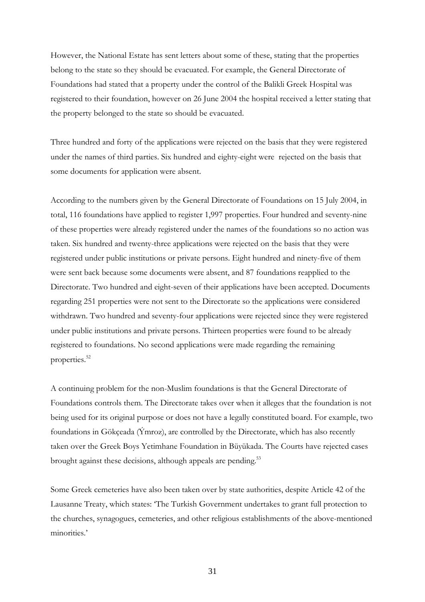However, the National Estate has sent letters about some of these, stating that the properties belong to the state so they should be evacuated. For example, the General Directorate of Foundations had stated that a property under the control of the Balikli Greek Hospital was registered to their foundation, however on 26 June 2004 the hospital received a letter stating that the property belonged to the state so should be evacuated.

Three hundred and forty of the applications were rejected on the basis that they were registered under the names of third parties. Six hundred and eighty-eight were rejected on the basis that some documents for application were absent.

According to the numbers given by the General Directorate of Foundations on 15 July 2004, in total, 116 foundations have applied to register 1,997 properties. Four hundred and seventy-nine of these properties were already registered under the names of the foundations so no action was taken. Six hundred and twenty-three applications were rejected on the basis that they were registered under public institutions or private persons. Eight hundred and ninety-five of them were sent back because some documents were absent, and 87 foundations reapplied to the Directorate. Two hundred and eight-seven of their applications have been accepted. Documents regarding 251 properties were not sent to the Directorate so the applications were considered withdrawn. Two hundred and seventy-four applications were rejected since they were registered under public institutions and private persons. Thirteen properties were found to be already registered to foundations. No second applications were made regarding the remaining properties.<sup>52</sup>

A continuing problem for the non-Muslim foundations is that the General Directorate of Foundations controls them. The Directorate takes over when it alleges that the foundation is not being used for its original purpose or does not have a legally constituted board. For example, two foundations in Gökçeada (Ýmroz), are controlled by the Directorate, which has also recently taken over the Greek Boys Yetimhane Foundation in Büyükada. The Courts have rejected cases brought against these decisions, although appeals are pending.<sup>53</sup>

Some Greek cemeteries have also been taken over by state authorities, despite Article 42 of the Lausanne Treaty, which states: 'The Turkish Government undertakes to grant full protection to the churches, synagogues, cemeteries, and other religious establishments of the above-mentioned minorities.'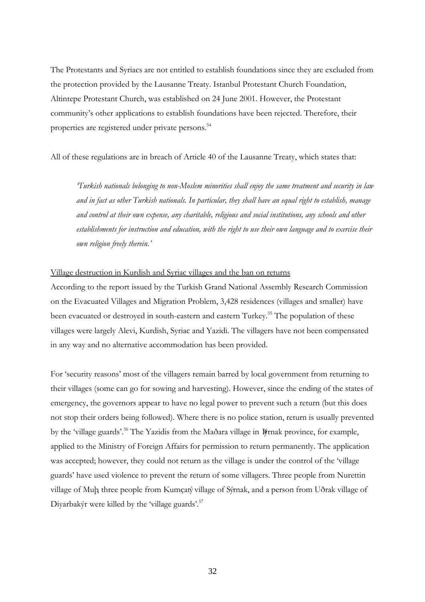The Protestants and Syriacs are not entitled to establish foundations since they are excluded from the protection provided by the Lausanne Treaty. Istanbul Protestant Church Foundation, Altintepe Protestant Church, was established on 24 June 2001. However, the Protestant community's other applications to establish foundations have been rejected. Therefore, their properties are registered under private persons.<sup>54</sup>

All of these regulations are in breach of Article 40 of the Lausanne Treaty, which states that:

*'Turkish nationals belonging to non-Moslem minorities shall enjoy the same treatment and security in law and in fact as other Turkish nationals. In particular, they shall have an equal right to establish, manage and control at their own expense, any charitable, religious and social institutions, any schools and other establishments for instruction and education, with the right to use their own language and to exercise their own religion freely therein.'*

#### Village destruction in Kurdish and Syriac villages and the ban on returns

According to the report issued by the Turkish Grand National Assembly Research Commission on the Evacuated Villages and Migration Problem, 3,428 residences (villages and smaller) have been evacuated or destroyed in south-eastern and eastern Turkey.<sup>55</sup> The population of these villages were largely Alevi, Kurdish, Syriac and Yazidi. The villagers have not been compensated in any way and no alternative accommodation has been provided.

For 'security reasons' most of the villagers remain barred by local government from returning to their villages (some can go for sowing and harvesting). However, since the ending of the states of emergency, the governors appear to have no legal power to prevent such a return (but this does not stop their orders being followed). Where there is no police station, return is usually prevented by the 'village guards'.<sup>56</sup> The Yazidis from the Maðara village in Þýrnak province, for example, applied to the Ministry of Foreign Affairs for permission to return permanently. The application was accepted; however, they could not return as the village is under the control of the 'village guards' have used violence to prevent the return of some villagers. Three people from Nurettin village of Muþ, three people from Kumçatý village of Sýrnak, and a person from Uðrak village of Diyarbakýr were killed by the 'village guards'.<sup>57</sup>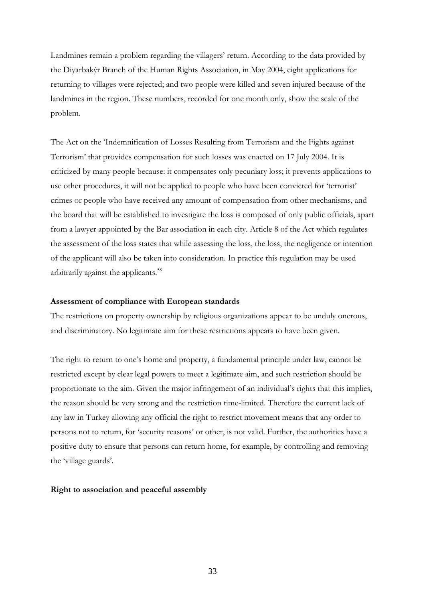Landmines remain a problem regarding the villagers' return. According to the data provided by the Diyarbakýr Branch of the Human Rights Association, in May 2004, eight applications for returning to villages were rejected; and two people were killed and seven injured because of the landmines in the region. These numbers, recorded for one month only, show the scale of the problem.

The Act on the 'Indemnification of Losses Resulting from Terrorism and the Fights against Terrorism' that provides compensation for such losses was enacted on 17 July 2004. It is criticized by many people because: it compensates only pecuniary loss; it prevents applications to use other procedures, it will not be applied to people who have been convicted for 'terrorist' crimes or people who have received any amount of compensation from other mechanisms, and the board that will be established to investigate the loss is composed of only public officials, apart from a lawyer appointed by the Bar association in each city. Article 8 of the Act which regulates the assessment of the loss states that while assessing the loss, the loss, the negligence or intention of the applicant will also be taken into consideration. In practice this regulation may be used arbitrarily against the applicants.<sup>58</sup>

#### **Assessment of compliance with European standards**

The restrictions on property ownership by religious organizations appear to be unduly onerous, and discriminatory. No legitimate aim for these restrictions appears to have been given.

The right to return to one's home and property, a fundamental principle under law, cannot be restricted except by clear legal powers to meet a legitimate aim, and such restriction should be proportionate to the aim. Given the major infringement of an individual's rights that this implies, the reason should be very strong and the restriction time-limited. Therefore the current lack of any law in Turkey allowing any official the right to restrict movement means that any order to persons not to return, for 'security reasons' or other, is not valid. Further, the authorities have a positive duty to ensure that persons can return home, for example, by controlling and removing the 'village guards'.

#### **Right to association and peaceful assembly**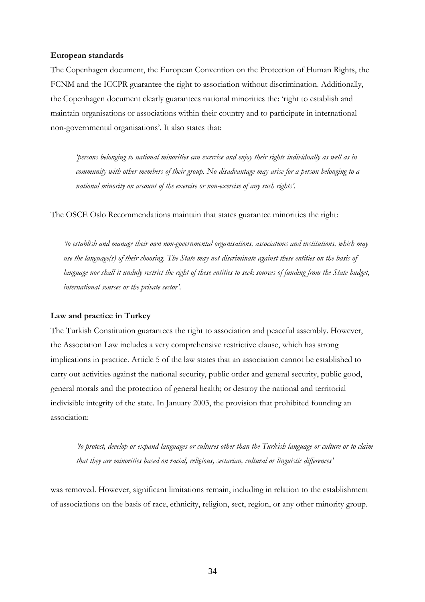#### **European standards**

The Copenhagen document, the European Convention on the Protection of Human Rights, the FCNM and the ICCPR guarantee the right to association without discrimination. Additionally, the Copenhagen document clearly guarantees national minorities the: 'right to establish and maintain organisations or associations within their country and to participate in international non-governmental organisations'. It also states that:

*'persons belonging to national minorities can exercise and enjoy their rights individually as well as in community with other members of their group. No disadvantage may arise for a person belonging to a national minority on account of the exercise or non-exercise of any such rights'.*

The OSCE Oslo Recommendations maintain that states guarantee minorities the right:

*'to establish and manage their own non-governmental organisations, associations and institutions, which may use the language(s) of their choosing. The State may not discriminate against these entities on the basis of*  language nor shall it unduly restrict the right of these entities to seek sources of funding from the State budget, *international sources or the private sector'*.

#### **Law and practice in Turkey**

The Turkish Constitution guarantees the right to association and peaceful assembly. However, the Association Law includes a very comprehensive restrictive clause, which has strong implications in practice. Article 5 of the law states that an association cannot be established to carry out activities against the national security, public order and general security, public good, general morals and the protection of general health; or destroy the national and territorial indivisible integrity of the state. In January 2003, the provision that prohibited founding an association:

*'to protect, develop or expand languages or cultures other than the Turkish language or culture or to claim that they are minorities based on racial, religious, sectarian, cultural or linguistic differences'* 

was removed. However, significant limitations remain, including in relation to the establishment of associations on the basis of race, ethnicity, religion, sect, region, or any other minority group.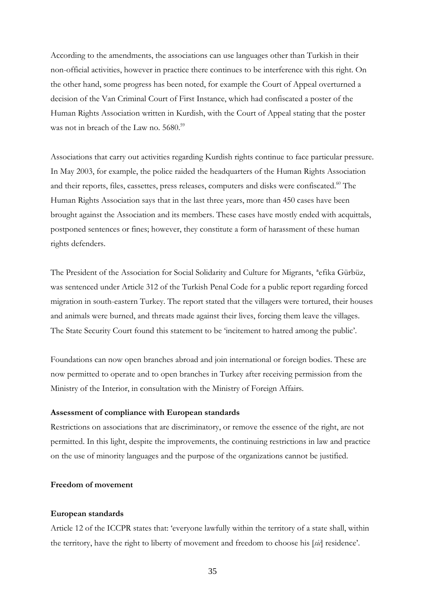According to the amendments, the associations can use languages other than Turkish in their non-official activities, however in practice there continues to be interference with this right. On the other hand, some progress has been noted, for example the Court of Appeal overturned a decision of the Van Criminal Court of First Instance, which had confiscated a poster of the Human Rights Association written in Kurdish, with the Court of Appeal stating that the poster was not in breach of the Law no. 5680.<sup>59</sup>

Associations that carry out activities regarding Kurdish rights continue to face particular pressure. In May 2003, for example, the police raided the headquarters of the Human Rights Association and their reports, files, cassettes, press releases, computers and disks were confiscated.<sup>60</sup> The Human Rights Association says that in the last three years, more than 450 cases have been brought against the Association and its members. These cases have mostly ended with acquittals, postponed sentences or fines; however, they constitute a form of harassment of these human rights defenders.

The President of the Association for Social Solidarity and Culture for Migrants, ªefika Gürbüz, was sentenced under Article 312 of the Turkish Penal Code for a public report regarding forced migration in south-eastern Turkey. The report stated that the villagers were tortured, their houses and animals were burned, and threats made against their lives, forcing them leave the villages. The State Security Court found this statement to be 'incitement to hatred among the public'.

Foundations can now open branches abroad and join international or foreign bodies. These are now permitted to operate and to open branches in Turkey after receiving permission from the Ministry of the Interior, in consultation with the Ministry of Foreign Affairs.

#### **Assessment of compliance with European standards**

Restrictions on associations that are discriminatory, or remove the essence of the right, are not permitted. In this light, despite the improvements, the continuing restrictions in law and practice on the use of minority languages and the purpose of the organizations cannot be justified.

#### **Freedom of movement**

#### **European standards**

Article 12 of the ICCPR states that: 'everyone lawfully within the territory of a state shall, within the territory, have the right to liberty of movement and freedom to choose his [*sic*] residence'.

35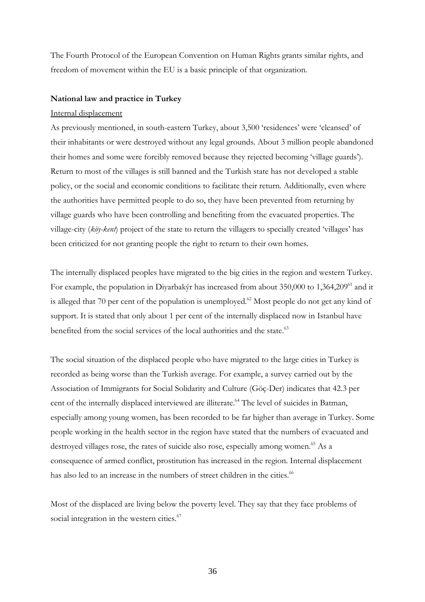The Fourth Protocol of the European Convention on Human Rights grants similar rights, and freedom of movement within the EU is a basic principle of that organization.

#### **National law and practice in Turkey**

#### Internal displacement

As previously mentioned, in south-eastern Turkey, about 3,500 'residences' were 'cleansed' of their inhabitants or were destroyed without any legal grounds. About 3 million people abandoned their homes and some were forcibly removed because they rejected becoming 'village guards'). Return to most of the villages is still banned and the Turkish state has not developed a stable policy, or the social and economic conditions to facilitate their return. Additionally, even where the authorities have permitted people to do so, they have been prevented from returning by village guards who have been controlling and benefiting from the evacuated properties. The village-city (*köy-kent*) project of the state to return the villagers to specially created 'villages' has been criticized for not granting people the right to return to their own homes.

The internally displaced peoples have migrated to the big cities in the region and western Turkey. For example, the population in Divarbakýr has increased from about 350,000 to 1,364,209<sup>61</sup> and it is alleged that 70 per cent of the population is unemployed.<sup>62</sup> Most people do not get any kind of support. It is stated that only about 1 per cent of the internally displaced now in Istanbul have benefited from the social services of the local authorities and the state.<sup>63</sup>

The social situation of the displaced people who have migrated to the large cities in Turkey is recorded as being worse than the Turkish average. For example, a survey carried out by the Association of Immigrants for Social Solidarity and Culture (Göç-Der) indicates that 42.3 per cent of the internally displaced interviewed are illiterate.<sup>64</sup> The level of suicides in Batman, especially among young women, has been recorded to be far higher than average in Turkey. Some people working in the health sector in the region have stated that the numbers of evacuated and destroyed villages rose, the rates of suicide also rose, especially among women.<sup>65</sup> As a consequence of armed conflict, prostitution has increased in the region. Internal displacement has also led to an increase in the numbers of street children in the cities.<sup>66</sup>

Most of the displaced are living below the poverty level. They say that they face problems of social integration in the western cities.<sup>67</sup>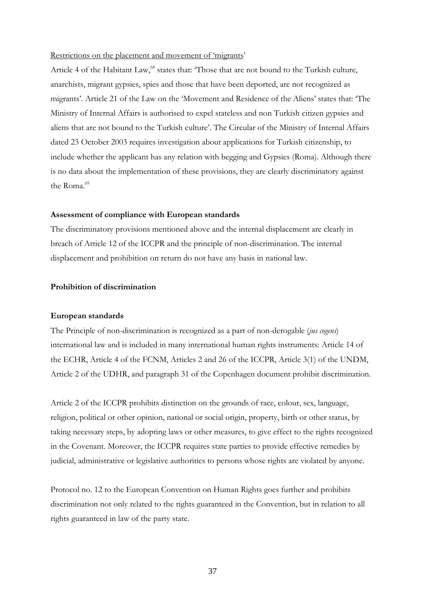#### Restrictions on the placement and movement of 'migrants'

Article 4 of the Habitant Law,<sup>68</sup> states that: 'Those that are not bound to the Turkish culture, anarchists, migrant gypsies, spies and those that have been deported, are not recognized as migrants'. Article 21 of the Law on the 'Movement and Residence of the Aliens' states that: 'The Ministry of Internal Affairs is authorised to expel stateless and non Turkish citizen gypsies and aliens that are not bound to the Turkish culture'. The Circular of the Ministry of Internal Affairs dated 23 October 2003 requires investigation about applications for Turkish citizenship, to include whether the applicant has any relation with begging and Gypsies (Roma). Although there is no data about the implementation of these provisions, they are clearly discriminatory against the Roma<sup> $69$ </sup>

#### **Assessment of compliance with European standards**

The discriminatory provisions mentioned above and the internal displacement are clearly in breach of Article 12 of the ICCPR and the principle of non-discrimination. The internal displacement and prohibition on return do not have any basis in national law.

#### **Prohibition of discrimination**

#### **European standards**

The Principle of non-discrimination is recognized as a part of non-derogable (*jus cogens*) international law and is included in many international human rights instruments: Article 14 of the ECHR, Article 4 of the FCNM, Articles 2 and 26 of the ICCPR, Article 3(1) of the UNDM, Article 2 of the UDHR, and paragraph 31 of the Copenhagen document prohibit discrimination.

Article 2 of the ICCPR prohibits distinction on the grounds of race, colour, sex, language, religion, political or other opinion, national or social origin, property, birth or other status, by taking necessary steps, by adopting laws or other measures, to give effect to the rights recognized in the Covenant. Moreover, the ICCPR requires state parties to provide effective remedies by judicial, administrative or legislative authorities to persons whose rights are violated by anyone.

Protocol no. 12 to the European Convention on Human Rights goes further and prohibits discrimination not only related to the rights guaranteed in the Convention, but in relation to all rights guaranteed in law of the party state.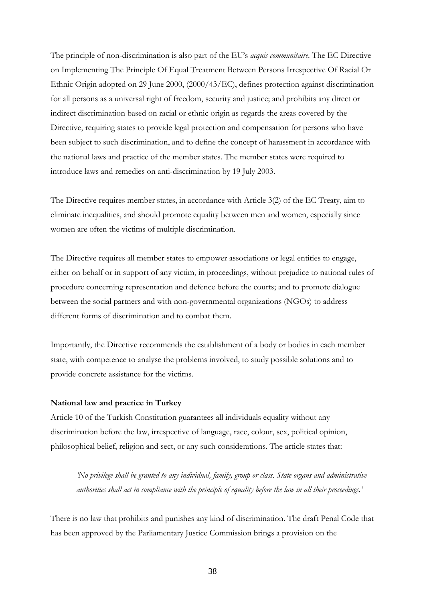The principle of non-discrimination is also part of the EU's *acquis communitaire*. The EC Directive on Implementing The Principle Of Equal Treatment Between Persons Irrespective Of Racial Or Ethnic Origin adopted on 29 June 2000, (2000/43/EC), defines protection against discrimination for all persons as a universal right of freedom, security and justice; and prohibits any direct or indirect discrimination based on racial or ethnic origin as regards the areas covered by the Directive, requiring states to provide legal protection and compensation for persons who have been subject to such discrimination, and to define the concept of harassment in accordance with the national laws and practice of the member states. The member states were required to introduce laws and remedies on anti-discrimination by 19 July 2003.

The Directive requires member states, in accordance with Article 3(2) of the EC Treaty, aim to eliminate inequalities, and should promote equality between men and women, especially since women are often the victims of multiple discrimination.

The Directive requires all member states to empower associations or legal entities to engage, either on behalf or in support of any victim, in proceedings, without prejudice to national rules of procedure concerning representation and defence before the courts; and to promote dialogue between the social partners and with non-governmental organizations (NGOs) to address different forms of discrimination and to combat them.

Importantly, the Directive recommends the establishment of a body or bodies in each member state, with competence to analyse the problems involved, to study possible solutions and to provide concrete assistance for the victims.

#### **National law and practice in Turkey**

Article 10 of the Turkish Constitution guarantees all individuals equality without any discrimination before the law, irrespective of language, race, colour, sex, political opinion, philosophical belief, religion and sect, or any such considerations. The article states that:

*'No privilege shall be granted to any individual, family, group or class. State organs and administrative authorities shall act in compliance with the principle of equality before the law in all their proceedings.'*

There is no law that prohibits and punishes any kind of discrimination. The draft Penal Code that has been approved by the Parliamentary Justice Commission brings a provision on the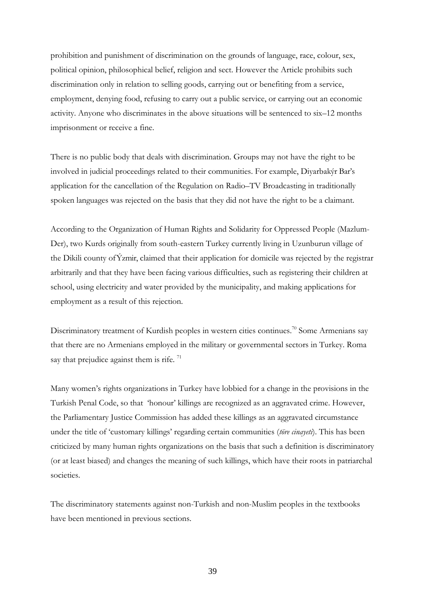prohibition and punishment of discrimination on the grounds of language, race, colour, sex, political opinion, philosophical belief, religion and sect. However the Article prohibits such discrimination only in relation to selling goods, carrying out or benefiting from a service, employment, denying food, refusing to carry out a public service, or carrying out an economic activity. Anyone who discriminates in the above situations will be sentenced to six–12 months imprisonment or receive a fine.

There is no public body that deals with discrimination. Groups may not have the right to be involved in judicial proceedings related to their communities. For example, Diyarbakýr Bar's application for the cancellation of the Regulation on Radio–TV Broadcasting in traditionally spoken languages was rejected on the basis that they did not have the right to be a claimant.

According to the Organization of Human Rights and Solidarity for Oppressed People (Mazlum-Der), two Kurds originally from south-eastern Turkey currently living in Uzunburun village of the Dikili county of Ýzmir, claimed that their application for domicile was rejected by the registrar arbitrarily and that they have been facing various difficulties, such as registering their children at school, using electricity and water provided by the municipality, and making applications for employment as a result of this rejection.

Discriminatory treatment of Kurdish peoples in western cities continues.<sup>70</sup> Some Armenians say that there are no Armenians employed in the military or governmental sectors in Turkey. Roma say that prejudice against them is rife.  $71$ 

Many women's rights organizations in Turkey have lobbied for a change in the provisions in the Turkish Penal Code, so that 'honour' killings are recognized as an aggravated crime. However, the Parliamentary Justice Commission has added these killings as an aggravated circumstance under the title of 'customary killings' regarding certain communities (*töre cinayeti*). This has been criticized by many human rights organizations on the basis that such a definition is discriminatory (or at least biased) and changes the meaning of such killings, which have their roots in patriarchal societies.

The discriminatory statements against non-Turkish and non-Muslim peoples in the textbooks have been mentioned in previous sections.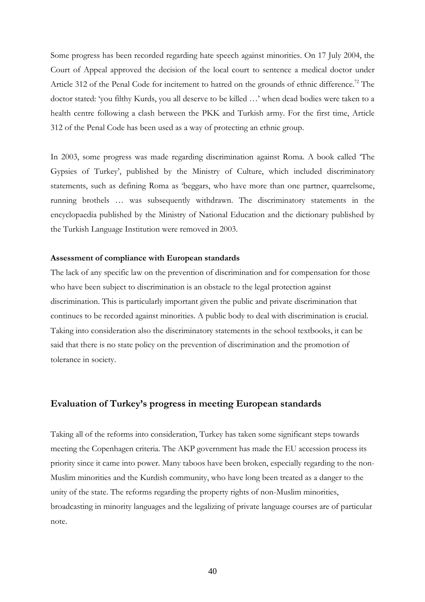Some progress has been recorded regarding hate speech against minorities. On 17 July 2004, the Court of Appeal approved the decision of the local court to sentence a medical doctor under Article 312 of the Penal Code for incitement to hatred on the grounds of ethnic difference.<sup>72</sup> The doctor stated: 'you filthy Kurds, you all deserve to be killed …' when dead bodies were taken to a health centre following a clash between the PKK and Turkish army. For the first time, Article 312 of the Penal Code has been used as a way of protecting an ethnic group.

In 2003, some progress was made regarding discrimination against Roma. A book called 'The Gypsies of Turkey', published by the Ministry of Culture, which included discriminatory statements, such as defining Roma as 'beggars, who have more than one partner, quarrelsome, running brothels … was subsequently withdrawn. The discriminatory statements in the encyclopaedia published by the Ministry of National Education and the dictionary published by the Turkish Language Institution were removed in 2003.

#### **Assessment of compliance with European standards**

The lack of any specific law on the prevention of discrimination and for compensation for those who have been subject to discrimination is an obstacle to the legal protection against discrimination. This is particularly important given the public and private discrimination that continues to be recorded against minorities. A public body to deal with discrimination is crucial. Taking into consideration also the discriminatory statements in the school textbooks, it can be said that there is no state policy on the prevention of discrimination and the promotion of tolerance in society.

## **Evaluation of Turkey's progress in meeting European standards**

Taking all of the reforms into consideration, Turkey has taken some significant steps towards meeting the Copenhagen criteria. The AKP government has made the EU accession process its priority since it came into power. Many taboos have been broken, especially regarding to the non-Muslim minorities and the Kurdish community, who have long been treated as a danger to the unity of the state. The reforms regarding the property rights of non-Muslim minorities, broadcasting in minority languages and the legalizing of private language courses are of particular note.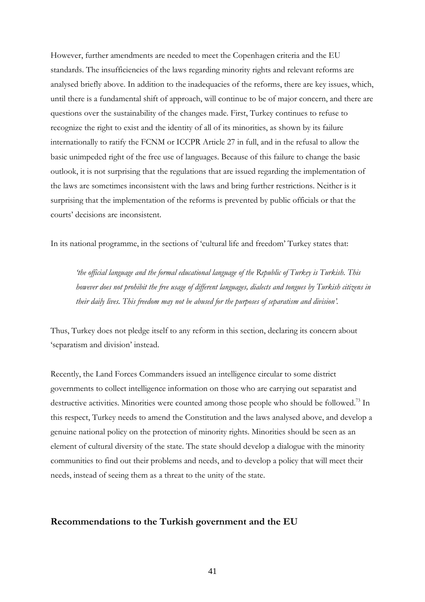However, further amendments are needed to meet the Copenhagen criteria and the EU standards. The insufficiencies of the laws regarding minority rights and relevant reforms are analysed briefly above. In addition to the inadequacies of the reforms, there are key issues, which, until there is a fundamental shift of approach, will continue to be of major concern, and there are questions over the sustainability of the changes made. First, Turkey continues to refuse to recognize the right to exist and the identity of all of its minorities, as shown by its failure internationally to ratify the FCNM or ICCPR Article 27 in full, and in the refusal to allow the basic unimpeded right of the free use of languages. Because of this failure to change the basic outlook, it is not surprising that the regulations that are issued regarding the implementation of the laws are sometimes inconsistent with the laws and bring further restrictions. Neither is it surprising that the implementation of the reforms is prevented by public officials or that the courts' decisions are inconsistent.

In its national programme, in the sections of 'cultural life and freedom' Turkey states that:

*'the official language and the formal educational language of the Republic of Turkey is Turkish. This however does not prohibit the free usage of different languages, dialects and tongues by Turkish citizens in their daily lives. This freedom may not be abused for the purposes of separatism and division'.*

Thus, Turkey does not pledge itself to any reform in this section, declaring its concern about 'separatism and division' instead.

Recently, the Land Forces Commanders issued an intelligence circular to some district governments to collect intelligence information on those who are carrying out separatist and destructive activities. Minorities were counted among those people who should be followed.<sup>73</sup> In this respect, Turkey needs to amend the Constitution and the laws analysed above, and develop a genuine national policy on the protection of minority rights. Minorities should be seen as an element of cultural diversity of the state. The state should develop a dialogue with the minority communities to find out their problems and needs, and to develop a policy that will meet their needs, instead of seeing them as a threat to the unity of the state.

## **Recommendations to the Turkish government and the EU**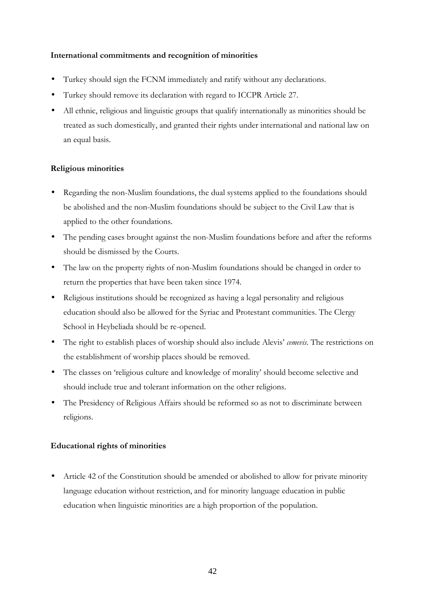## **International commitments and recognition of minorities**

- Turkey should sign the FCNM immediately and ratify without any declarations.
- Turkey should remove its declaration with regard to ICCPR Article 27.
- All ethnic, religious and linguistic groups that qualify internationally as minorities should be treated as such domestically, and granted their rights under international and national law on an equal basis.

## **Religious minorities**

- Regarding the non-Muslim foundations, the dual systems applied to the foundations should be abolished and the non-Muslim foundations should be subject to the Civil Law that is applied to the other foundations.
- The pending cases brought against the non-Muslim foundations before and after the reforms should be dismissed by the Courts.
- The law on the property rights of non-Muslim foundations should be changed in order to return the properties that have been taken since 1974.
- Religious institutions should be recognized as having a legal personality and religious education should also be allowed for the Syriac and Protestant communities. The Clergy School in Heybeliada should be re-opened.
- The right to establish places of worship should also include Alevis' *cemevis*. The restrictions on the establishment of worship places should be removed.
- The classes on 'religious culture and knowledge of morality' should become selective and should include true and tolerant information on the other religions.
- The Presidency of Religious Affairs should be reformed so as not to discriminate between religions.

## **Educational rights of minorities**

• Article 42 of the Constitution should be amended or abolished to allow for private minority language education without restriction, and for minority language education in public education when linguistic minorities are a high proportion of the population.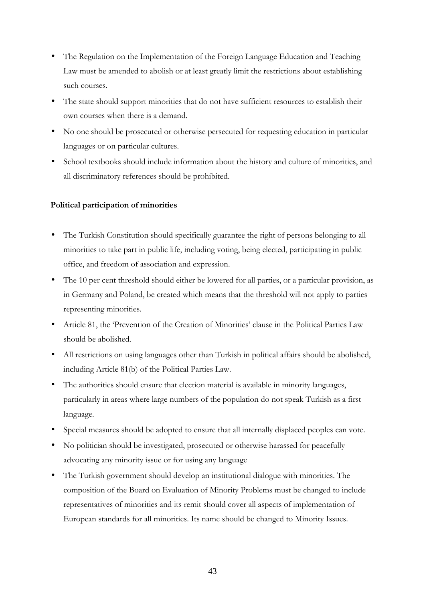- The Regulation on the Implementation of the Foreign Language Education and Teaching Law must be amended to abolish or at least greatly limit the restrictions about establishing such courses.
- The state should support minorities that do not have sufficient resources to establish their own courses when there is a demand.
- No one should be prosecuted or otherwise persecuted for requesting education in particular languages or on particular cultures.
- School textbooks should include information about the history and culture of minorities, and all discriminatory references should be prohibited.

## **Political participation of minorities**

- The Turkish Constitution should specifically guarantee the right of persons belonging to all minorities to take part in public life, including voting, being elected, participating in public office, and freedom of association and expression.
- The 10 per cent threshold should either be lowered for all parties, or a particular provision, as in Germany and Poland, be created which means that the threshold will not apply to parties representing minorities.
- Article 81, the 'Prevention of the Creation of Minorities' clause in the Political Parties Law should be abolished.
- All restrictions on using languages other than Turkish in political affairs should be abolished, including Article 81(b) of the Political Parties Law.
- The authorities should ensure that election material is available in minority languages, particularly in areas where large numbers of the population do not speak Turkish as a first language.
- Special measures should be adopted to ensure that all internally displaced peoples can vote.
- No politician should be investigated, prosecuted or otherwise harassed for peacefully advocating any minority issue or for using any language
- The Turkish government should develop an institutional dialogue with minorities. The composition of the Board on Evaluation of Minority Problems must be changed to include representatives of minorities and its remit should cover all aspects of implementation of European standards for all minorities. Its name should be changed to Minority Issues.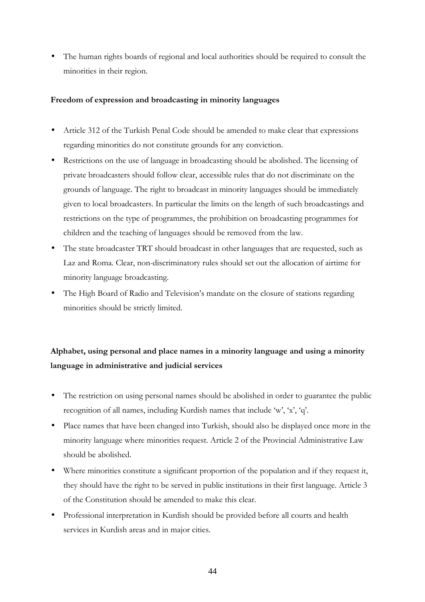• The human rights boards of regional and local authorities should be required to consult the minorities in their region.

## **Freedom of expression and broadcasting in minority languages**

- Article 312 of the Turkish Penal Code should be amended to make clear that expressions regarding minorities do not constitute grounds for any conviction.
- Restrictions on the use of language in broadcasting should be abolished. The licensing of private broadcasters should follow clear, accessible rules that do not discriminate on the grounds of language. The right to broadcast in minority languages should be immediately given to local broadcasters. In particular the limits on the length of such broadcastings and restrictions on the type of programmes, the prohibition on broadcasting programmes for children and the teaching of languages should be removed from the law.
- The state broadcaster TRT should broadcast in other languages that are requested, such as Laz and Roma. Clear, non-discriminatory rules should set out the allocation of airtime for minority language broadcasting.
- The High Board of Radio and Television's mandate on the closure of stations regarding minorities should be strictly limited.

## **Alphabet, using personal and place names in a minority language and using a minority language in administrative and judicial services**

- The restriction on using personal names should be abolished in order to guarantee the public recognition of all names, including Kurdish names that include 'w', 'x', 'q'.
- Place names that have been changed into Turkish, should also be displayed once more in the minority language where minorities request. Article 2 of the Provincial Administrative Law should be abolished.
- Where minorities constitute a significant proportion of the population and if they request it, they should have the right to be served in public institutions in their first language. Article 3 of the Constitution should be amended to make this clear.
- Professional interpretation in Kurdish should be provided before all courts and health services in Kurdish areas and in major cities.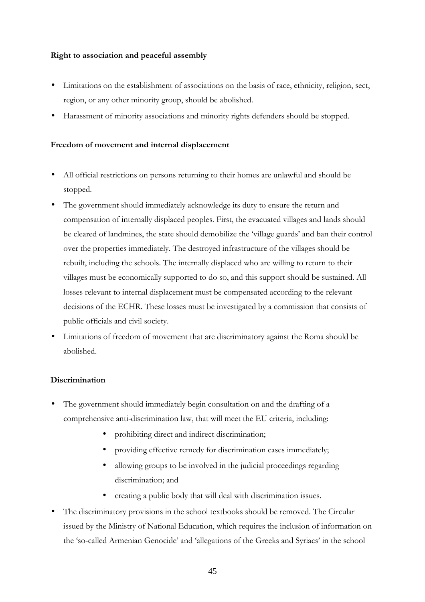## **Right to association and peaceful assembly**

- Limitations on the establishment of associations on the basis of race, ethnicity, religion, sect, region, or any other minority group, should be abolished.
- Harassment of minority associations and minority rights defenders should be stopped.

## **Freedom of movement and internal displacement**

- All official restrictions on persons returning to their homes are unlawful and should be stopped.
- The government should immediately acknowledge its duty to ensure the return and compensation of internally displaced peoples. First, the evacuated villages and lands should be cleared of landmines, the state should demobilize the 'village guards' and ban their control over the properties immediately. The destroyed infrastructure of the villages should be rebuilt, including the schools. The internally displaced who are willing to return to their villages must be economically supported to do so, and this support should be sustained. All losses relevant to internal displacement must be compensated according to the relevant decisions of the ECHR. These losses must be investigated by a commission that consists of public officials and civil society.
- Limitations of freedom of movement that are discriminatory against the Roma should be abolished.

## **Discrimination**

- The government should immediately begin consultation on and the drafting of a comprehensive anti-discrimination law, that will meet the EU criteria, including:
	- prohibiting direct and indirect discrimination;
	- providing effective remedy for discrimination cases immediately;
	- allowing groups to be involved in the judicial proceedings regarding discrimination; and
	- creating a public body that will deal with discrimination issues.
- The discriminatory provisions in the school textbooks should be removed. The Circular issued by the Ministry of National Education, which requires the inclusion of information on the 'so-called Armenian Genocide' and 'allegations of the Greeks and Syriacs' in the school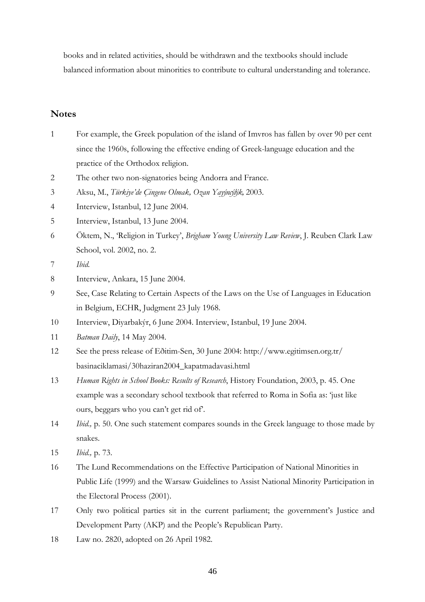books and in related activities, should be withdrawn and the textbooks should include balanced information about minorities to contribute to cultural understanding and tolerance.

## **Notes**

- 1 For example, the Greek population of the island of Imvros has fallen by over 90 per cent since the 1960s, following the effective ending of Greek-language education and the practice of the Orthodox religion.
- 2 The other two non-signatories being Andorra and France.
- 3 Aksu, M., *Türkiye'de Çingene Olmak, Ozan Yayýncýlýk,* 2003.
- 4 Interview, Istanbul, 12 June 2004.
- 5 Interview, Istanbul, 13 June 2004.
- 6 Öktem, N., 'Religion in Turkey', *Brigham Young University Law Review*, J. Reuben Clark Law School, vol. 2002, no. 2.
- 7 *Ibid.*
- 8 Interview, Ankara, 15 June 2004.
- 9 See, Case Relating to Certain Aspects of the Laws on the Use of Languages in Education in Belgium, ECHR, Judgment 23 July 1968.
- 10 Interview, Diyarbakýr, 6 June 2004. Interview, Istanbul, 19 June 2004.
- 11 *Batman Daily*, 14 May 2004.
- 12 See the press release of Eðitim-Sen, 30 June 2004: http://www.egitimsen.org.tr/ basinaciklamasi/30haziran2004\_kapatmadavasi.html
- 13 *Human Rights in School Books: Results of Research*, History Foundation, 2003, p. 45. One example was a secondary school textbook that referred to Roma in Sofia as: 'just like ours, beggars who you can't get rid of'.
- 14 *Ibid.,* p. 50. One such statement compares sounds in the Greek language to those made by snakes.
- 15 *Ibid.,* p. 73.
- 16 The Lund Recommendations on the Effective Participation of National Minorities in Public Life (1999) and the Warsaw Guidelines to Assist National Minority Participation in the Electoral Process (2001).
- 17 Only two political parties sit in the current parliament; the government's Justice and Development Party (AKP) and the People's Republican Party.
- 18 Law no. 2820, adopted on 26 April 1982.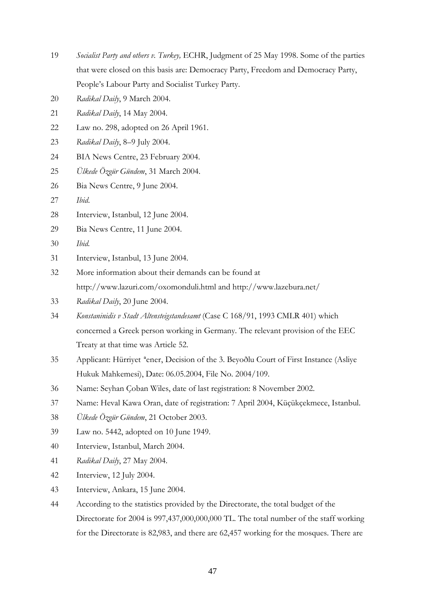- *Socialist Party and others v. Turkey,* ECHR, Judgment of 25 May 1998. Some of the parties that were closed on this basis are: Democracy Party, Freedom and Democracy Party, People's Labour Party and Socialist Turkey Party.
- *Radikal Daily*, 9 March 2004.
- *Radikal Daily*, 14 May 2004.
- Law no. 298, adopted on 26 April 1961.
- *Radikal Daily*, 8–9 July 2004.
- BIA News Centre, 23 February 2004.
- *Ülkede Özgür Gündem*, 31 March 2004.
- Bia News Centre, 9 June 2004.
- *Ibid*.
- Interview, Istanbul, 12 June 2004.
- Bia News Centre, 11 June 2004.
- *Ibid.*
- Interview, Istanbul, 13 June 2004.
- More information about their demands can be found at http://www.lazuri.com/oxomonduli.html and http://www.lazebura.net/
- *Radikal Daily*, 20 June 2004.
- *Konstaninidis v Stadt Altensteigstandesamt* (Case C 168/91, 1993 CMLR 401) which concerned a Greek person working in Germany. The relevant provision of the EEC Treaty at that time was Article 52.
- Applicant: Hürriyet ªener, Decision of the 3. Beyoðlu Court of First Instance (Asliye Hukuk Mahkemesi), Date: 06.05.2004, File No. 2004/109.
- Name: Seyhan Çoban Wiles, date of last registration: 8 November 2002.
- Name: Heval Kawa Oran, date of registration: 7 April 2004, Küçükçekmece, Istanbul.
- *Ülkede Özgür Gündem*, 21 October 2003.
- Law no. 5442, adopted on 10 June 1949.
- Interview, Istanbul, March 2004.
- *Radikal Daily*, 27 May 2004.
- Interview, 12 July 2004.
- Interview, Ankara, 15 June 2004.
- According to the statistics provided by the Directorate, the total budget of the Directorate for 2004 is 997,437,000,000,000 TL. The total number of the staff working for the Directorate is 82,983, and there are 62,457 working for the mosques. There are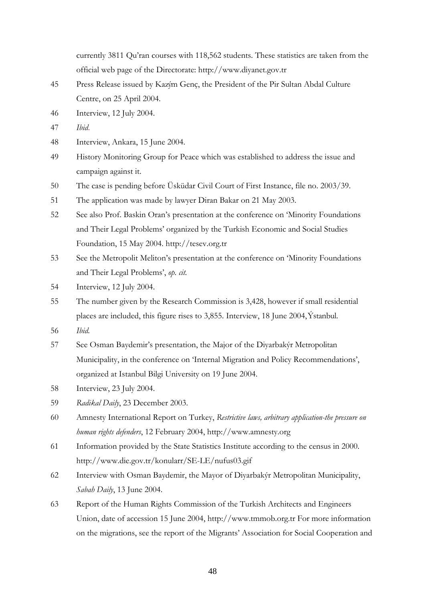currently 3811 Qu'ran courses with 118,562 students. These statistics are taken from the official web page of the Directorate: http://www.diyanet.gov.tr

- 45 Press Release issued by Kazým Genç, the President of the Pir Sultan Abdal Culture Centre, on 25 April 2004.
- 46 Interview, 12 July 2004.
- 47 *Ibid*.
- 48 Interview, Ankara, 15 June 2004.
- 49 History Monitoring Group for Peace which was established to address the issue and campaign against it.
- 50 The case is pending before Üsküdar Civil Court of First Instance, file no. 2003/39.
- 51 The application was made by lawyer Diran Bakar on 21 May 2003.
- 52 See also Prof. Baskin Oran's presentation at the conference on 'Minority Foundations and Their Legal Problems' organized by the Turkish Economic and Social Studies Foundation, 15 May 2004. http://tesev.org.tr
- 53 See the Metropolit Meliton's presentation at the conference on 'Minority Foundations and Their Legal Problems', *op. cit.*
- 54 Interview, 12 July 2004.
- 55 The number given by the Research Commission is 3,428, however if small residential places are included, this figure rises to 3,855. Interview, 18 June 2004, Ýstanbul.
- 56 *Ibid.*
- 57 See Osman Baydemir's presentation, the Major of the Diyarbakýr Metropolitan Municipality, in the conference on 'Internal Migration and Policy Recommendations', organized at Istanbul Bilgi University on 19 June 2004.
- 58 Interview, 23 July 2004.
- 59 *Radikal Daily*, 23 December 2003.
- 60 Amnesty International Report on Turkey, *Restrictive laws, arbitrary application-the pressure on human rights defenders*, 12 February 2004, http://www.amnesty.org
- 61 Information provided by the State Statistics Institute according to the census in 2000. http://www.die.gov.tr/konularr/SE-LE/nufus03.gif
- 62 Interview with Osman Baydemir, the Mayor of Diyarbakýr Metropolitan Municipality, *Sabah Daily*, 13 June 2004.
- 63 Report of the Human Rights Commission of the Turkish Architects and Engineers Union, date of accession 15 June 2004, http://www.tmmob.org.tr For more information on the migrations, see the report of the Migrants' Association for Social Cooperation and